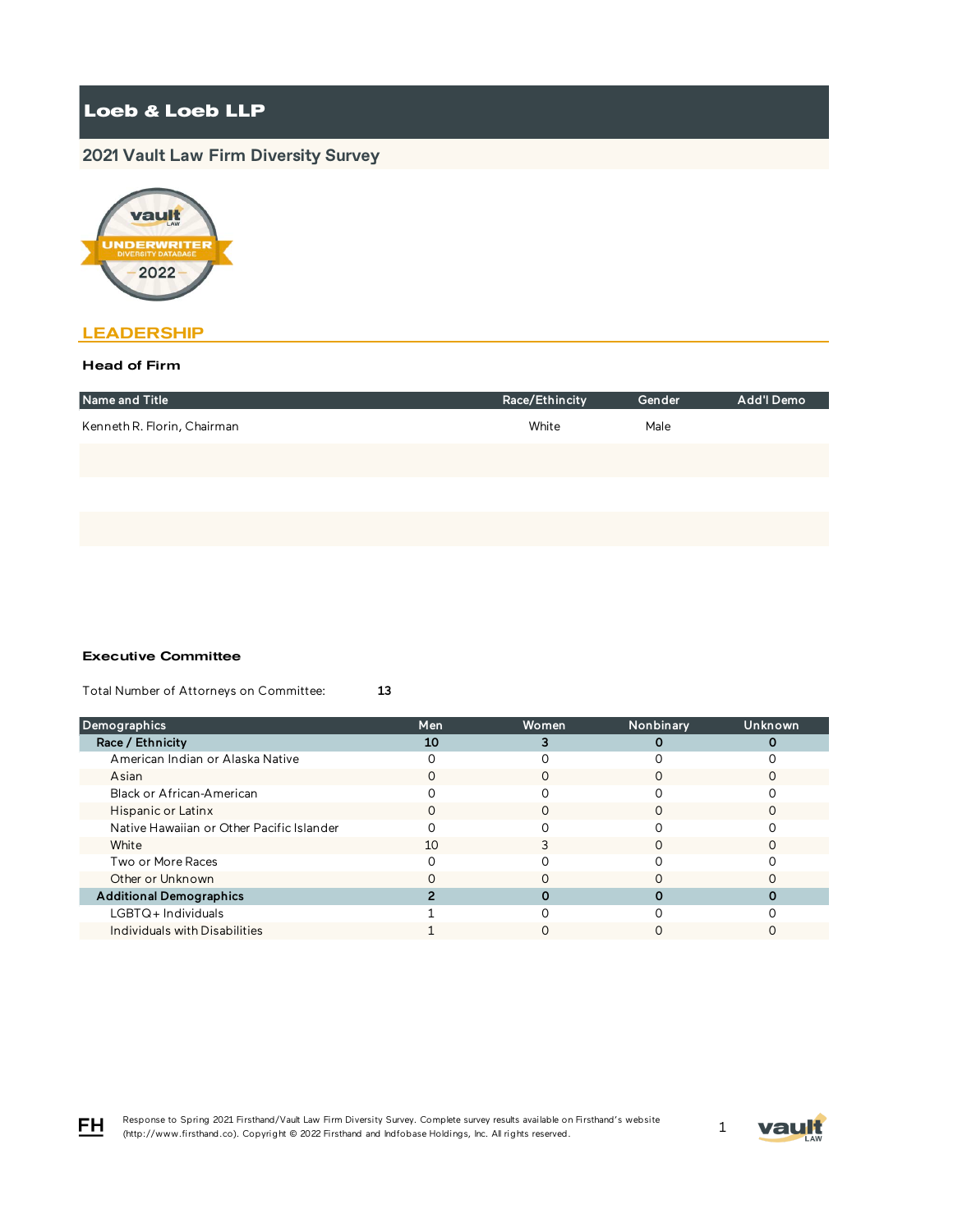# **2021 Vault Law Firm Diversity Survey**



## **LEADERSHIP**

### Head of Firm

| Name and Title              | Race/Ethincity | Gender | Add'l Demo |
|-----------------------------|----------------|--------|------------|
| Kenneth R. Florin, Chairman | White          | Male   |            |
|                             |                |        |            |
|                             |                |        |            |
|                             |                |        |            |

#### Executive Committee

Total Number of Attorneys on Committee: 13

| <b>Demographics</b>                       | Men | <b>Women</b> | Nonbinary | <b>Unknown</b> |
|-------------------------------------------|-----|--------------|-----------|----------------|
| Race / Ethnicity                          | 10  |              |           |                |
| American Indian or Alaska Native          |     |              |           |                |
| Asian                                     |     |              |           |                |
| Black or African-American                 |     |              |           |                |
| Hispanic or Latinx                        | O   |              | ∩         |                |
| Native Hawaiian or Other Pacific Islander |     |              |           |                |
| White                                     | 10  |              |           |                |
| Two or More Races                         |     |              |           |                |
| Other or Unknown                          |     |              |           |                |
| <b>Additional Demographics</b>            |     |              |           |                |
| LGBTQ+ Individuals                        |     |              |           |                |
| Individuals with Disabilities             |     |              |           |                |



FH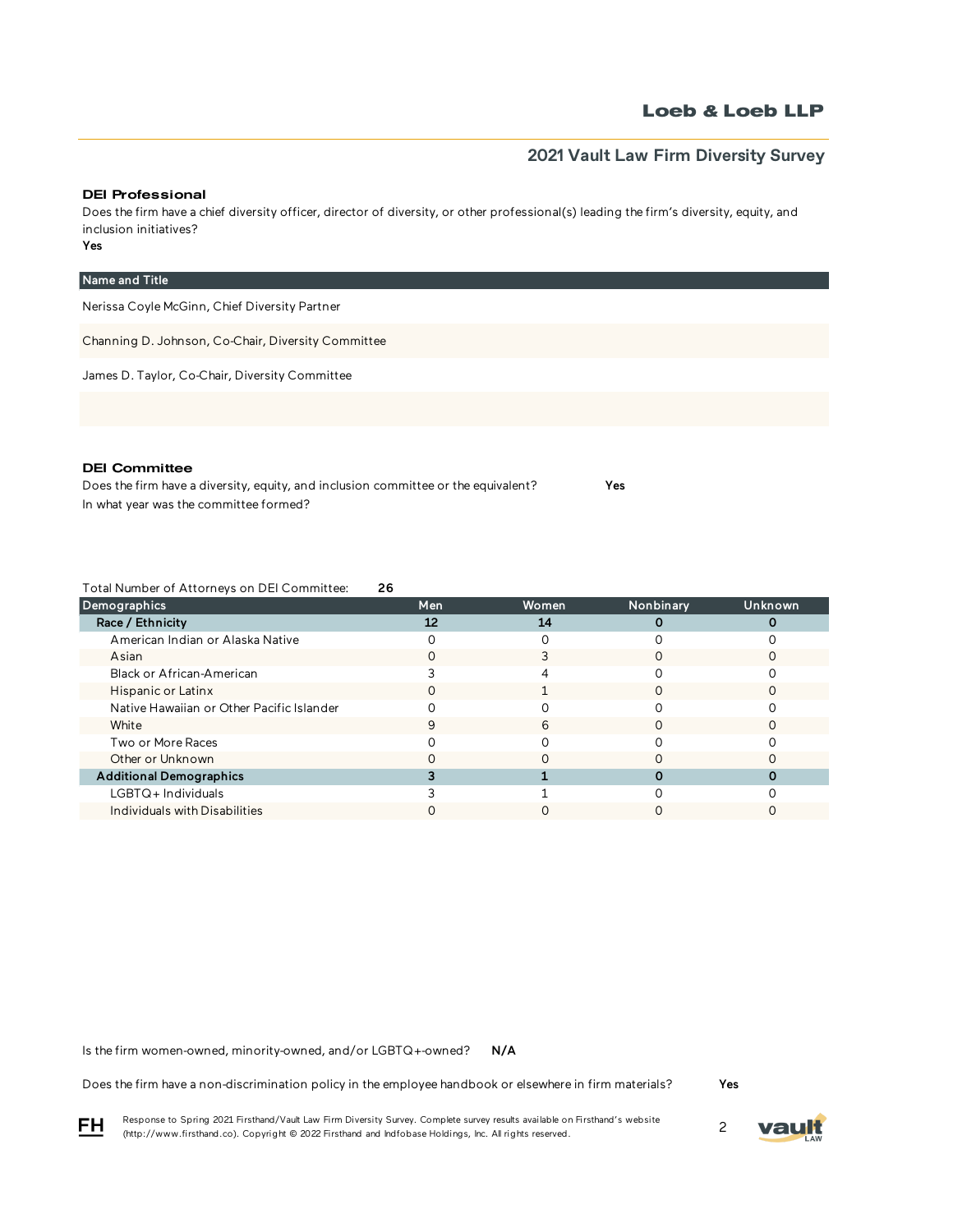## **2021 Vault Law Firm Diversity Survey**

### DEI Professional

Yes Does the firm have a chief diversity officer, director of diversity, or other professional(s) leading the firm's diversity, equity, and inclusion initiatives?

| Name and Title                                     |
|----------------------------------------------------|
| Nerissa Coyle McGinn, Chief Diversity Partner      |
| Channing D. Johnson, Co-Chair, Diversity Committee |
| James D. Taylor, Co-Chair, Diversity Committee     |
|                                                    |

### DEI Committee

Does the firm have a diversity, equity, and inclusion committee or the equivalent? Yes In what year was the committee formed?

Total Number of Attorneys on DEI Committee: 26

| Demographics                              | Men | Women | Nonbinary | Unknown |
|-------------------------------------------|-----|-------|-----------|---------|
| Race / Ethnicity                          | 12  | 14    |           |         |
| American Indian or Alaska Native          |     |       |           |         |
| Asian                                     |     |       |           |         |
| Black or African-American                 |     |       |           |         |
| Hispanic or Latinx                        |     |       |           |         |
| Native Hawaiian or Other Pacific Islander |     |       |           |         |
| White                                     | 9   | h     |           |         |
| Two or More Races                         |     |       |           |         |
| Other or Unknown                          |     |       |           |         |
| <b>Additional Demographics</b>            |     |       |           |         |
| LGBTQ+Individuals                         |     |       |           |         |
| Individuals with Disabilities             |     |       |           |         |

N/A Is the firm women-owned, minority-owned, and/or LGBTQ+-owned?

Does the firm have a non-discrimination policy in the employee handbook or elsewhere in firm materials?

Yes

Response to Spring 2021 Firsthand/Vault Law Firm Diversity Survey. Complete survey results available on Firsthand's website Response to Spring 2021 Firsthand/vault Law Firm Diversity Survey. Complete survey results available on Firsthand s website<br>(http://www.firsthand.co). Copyright © 2022 Firsthand and Indfobase Holdings, Inc. All rights rese

vau

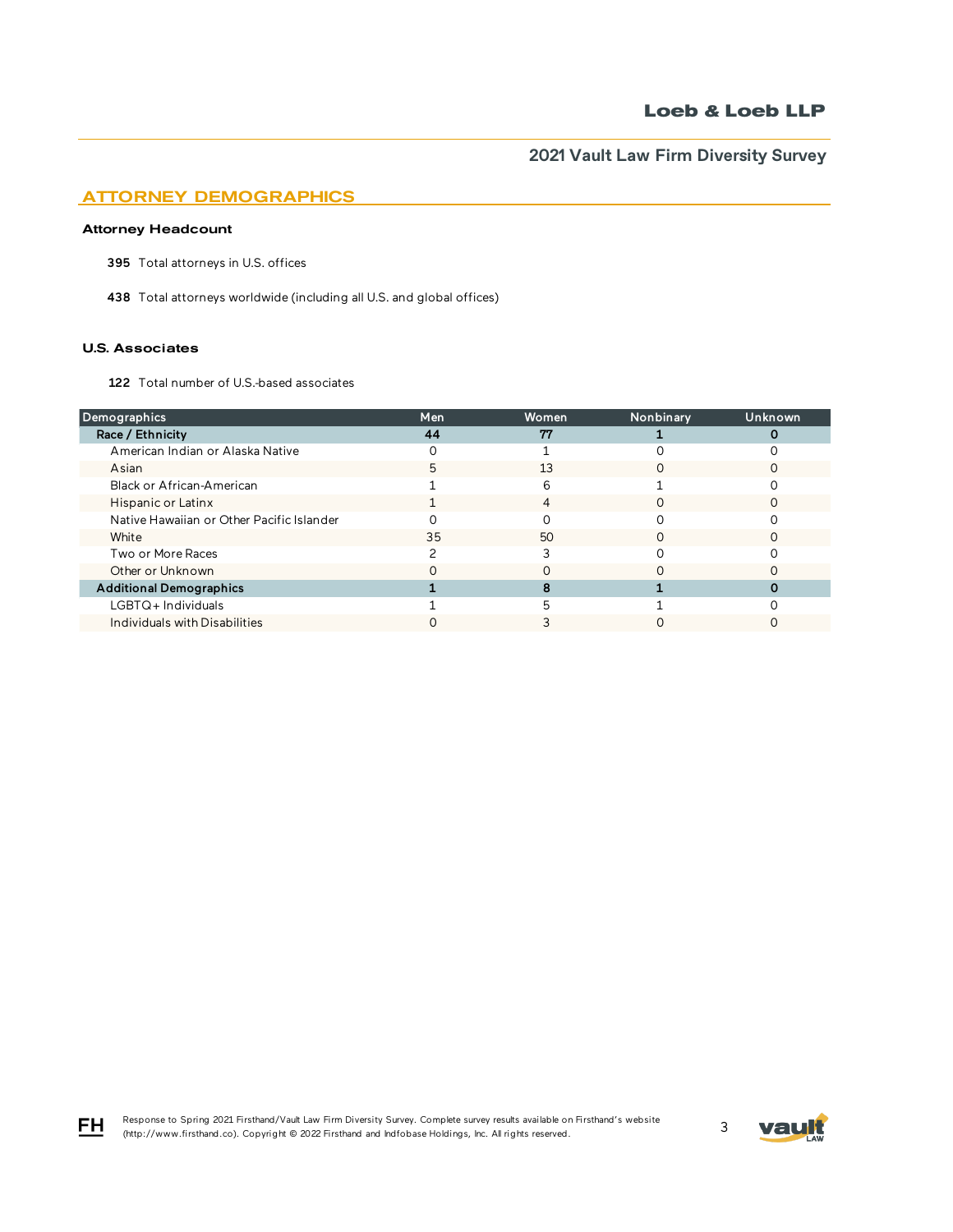## ATTORNEY DEMOGRAPHICS

### Attorney Headcount

395 Total attorneys in U.S. offices

438 Total attorneys worldwide (including all U.S. and global offices)

### U.S. Associates

FH

122 Total number of U.S.-based associates

| Demographics                              | <b>Men</b> | Women | Nonbinary | Unknown |
|-------------------------------------------|------------|-------|-----------|---------|
| Race / Ethnicity                          | 44         | 77    |           |         |
| American Indian or Alaska Native          |            |       |           |         |
| Asian                                     |            | 13    |           |         |
| Black or African-American                 |            | 6     |           |         |
| Hispanic or Latinx                        |            | 4     | ∩         |         |
| Native Hawaiian or Other Pacific Islander |            |       |           |         |
| White                                     | 35         | 50    |           |         |
| Two or More Races                         |            |       |           |         |
| Other or Unknown                          |            |       |           |         |
| <b>Additional Demographics</b>            |            |       |           |         |
| LGBTQ+Individuals                         |            |       |           |         |
| Individuals with Disabilities             |            |       |           |         |

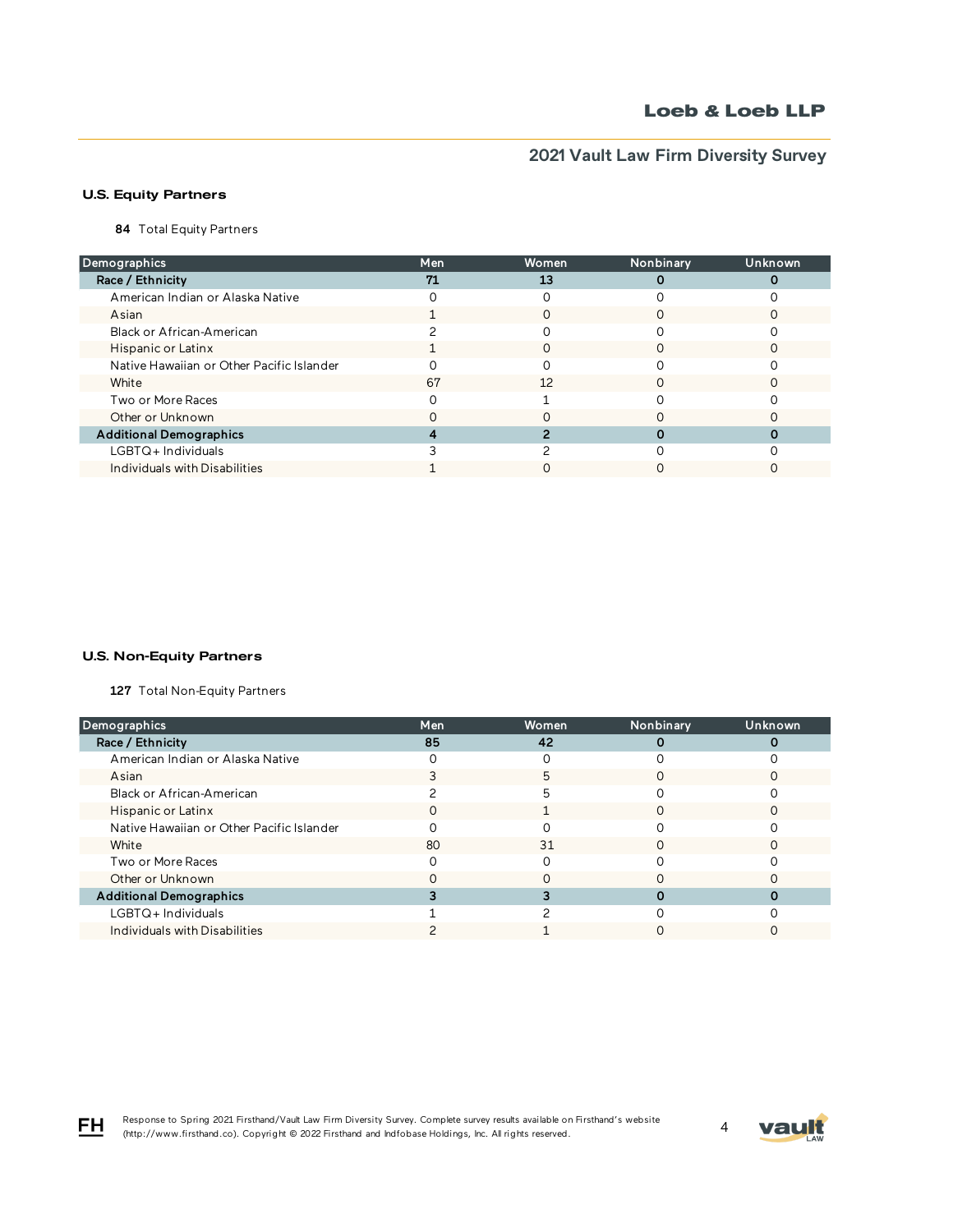# **2021 Vault Law Firm Diversity Survey**

## U.S. Equity Partners

84 Total Equity Partners

| Demographics                              | <b>Men</b> | Women | Nonbinary | Unknown |
|-------------------------------------------|------------|-------|-----------|---------|
| Race / Ethnicity                          | 71         | 13    |           |         |
| American Indian or Alaska Native          |            |       |           |         |
| Asian                                     |            |       |           |         |
| Black or African-American                 |            |       |           |         |
| Hispanic or Latinx                        |            | O     |           |         |
| Native Hawaiian or Other Pacific Islander |            |       |           |         |
| White                                     | 67         | 12    |           |         |
| Two or More Races                         |            |       |           |         |
| Other or Unknown                          |            |       |           |         |
| <b>Additional Demographics</b>            |            |       |           |         |
| $LGBTQ+$ Individuals                      |            |       |           |         |
| Individuals with Disabilities             |            |       |           |         |

### U.S. Non-Equity Partners

127 Total Non-Equity Partners

| Demographics                              | <b>Men</b> | Women | Nonbinary | Unknown |
|-------------------------------------------|------------|-------|-----------|---------|
| Race / Ethnicity                          | 85         | 42    |           |         |
| American Indian or Alaska Native          |            |       |           |         |
| Asian                                     |            | 5     |           |         |
| Black or African-American                 |            | 5     |           |         |
| Hispanic or Latinx                        |            |       |           |         |
| Native Hawaiian or Other Pacific Islander |            |       |           |         |
| White                                     | 80         | 31    |           |         |
| Two or More Races                         |            |       |           |         |
| Other or Unknown                          |            |       |           |         |
| <b>Additional Demographics</b>            |            |       |           |         |
| LGBTQ+ Individuals                        |            |       |           |         |
| Individuals with Disabilities             |            |       |           |         |

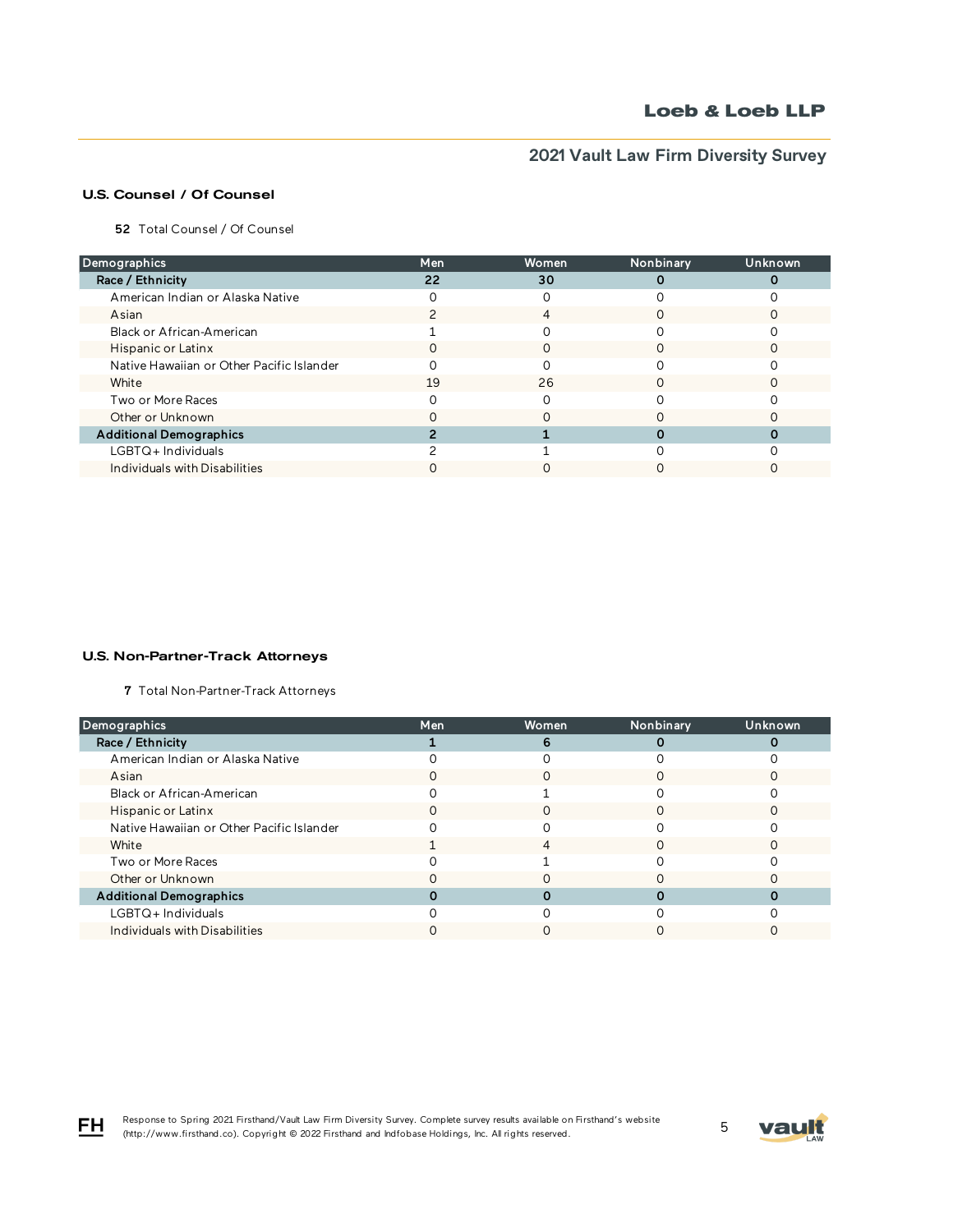# **2021 Vault Law Firm Diversity Survey**

## U.S. Counsel / Of Counsel

52 Total Counsel / Of Counsel

| Demographics                              | <b>Men</b> | Women | Nonbinary | Unknown |
|-------------------------------------------|------------|-------|-----------|---------|
| Race / Ethnicity                          | 22         | 30    |           |         |
| American Indian or Alaska Native          |            |       |           |         |
| Asian                                     |            | 4     |           |         |
| Black or African-American                 |            |       |           |         |
| Hispanic or Latinx                        | $\left($   | O     | O         |         |
| Native Hawaiian or Other Pacific Islander |            |       |           |         |
| White                                     | 19         | 26    |           |         |
| Two or More Races                         |            |       |           |         |
| Other or Unknown                          |            |       |           |         |
| <b>Additional Demographics</b>            |            |       |           |         |
| LGBTQ+Individuals                         |            |       |           |         |
| Individuals with Disabilities             |            |       |           |         |

#### U.S. Non-Partner-Track Attorneys

7 Total Non-Partner-Track Attorneys

| Demographics                              | <b>Men</b> | Women | Nonbinary | Unknown |
|-------------------------------------------|------------|-------|-----------|---------|
| Race / Ethnicity                          |            | 6     |           |         |
| American Indian or Alaska Native          |            |       |           |         |
| Asian                                     |            |       |           |         |
| Black or African-American                 |            |       |           |         |
| Hispanic or Latinx                        |            |       |           |         |
| Native Hawaiian or Other Pacific Islander |            |       |           |         |
| White                                     |            | 4     | ∩         |         |
| Two or More Races                         |            |       |           |         |
| Other or Unknown                          |            |       |           |         |
| <b>Additional Demographics</b>            |            |       |           |         |
| $LGBTQ+$ Individuals                      |            |       |           |         |
| Individuals with Disabilities             |            |       |           |         |

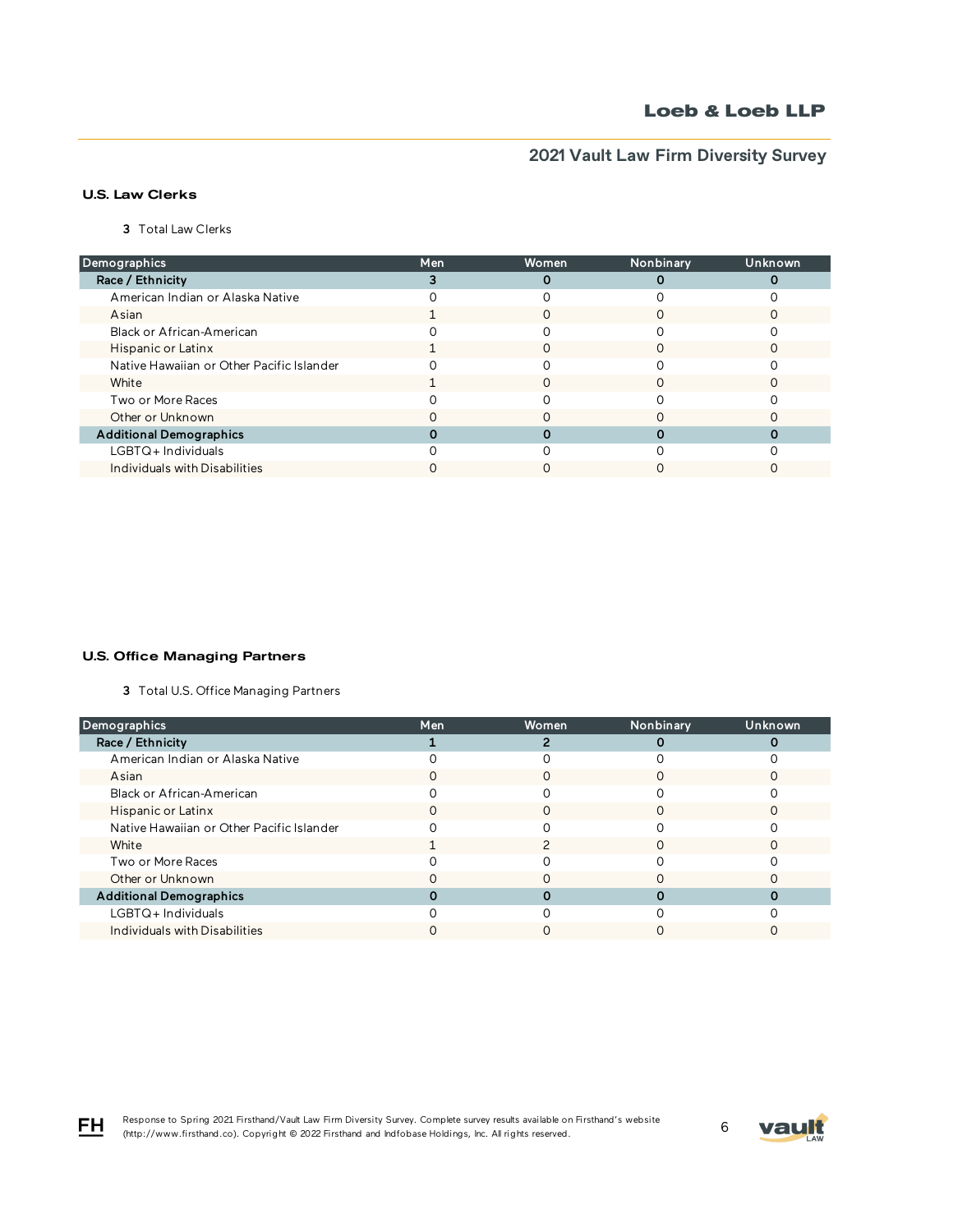# **2021 Vault Law Firm Diversity Survey**

## U.S. Law Clerks

3 Total Law Clerks

| Demographics                              | Men | Women | Nonbinary | Unknown |
|-------------------------------------------|-----|-------|-----------|---------|
| Race / Ethnicity                          |     |       |           |         |
| American Indian or Alaska Native          |     |       |           |         |
| Asian                                     |     |       |           |         |
| Black or African-American                 |     |       |           |         |
| Hispanic or Latinx                        |     |       |           |         |
| Native Hawaiian or Other Pacific Islander |     |       |           |         |
| White                                     |     |       |           |         |
| Two or More Races                         |     |       |           |         |
| Other or Unknown                          |     |       |           |         |
| <b>Additional Demographics</b>            |     |       |           |         |
| LGBTQ+Individuals                         |     |       |           |         |
| Individuals with Disabilities             |     |       |           |         |

### U.S. Office Managing Partners

3 Total U.S. Office Managing Partners

| Demographics                              | Men | Women | Nonbinary | Unknown |
|-------------------------------------------|-----|-------|-----------|---------|
| Race / Ethnicity                          |     |       |           |         |
| American Indian or Alaska Native          |     |       |           |         |
| Asian                                     |     |       |           |         |
| Black or African-American                 |     |       |           |         |
| Hispanic or Latinx                        |     |       |           |         |
| Native Hawaiian or Other Pacific Islander |     |       |           |         |
| White                                     |     |       |           |         |
| Two or More Races                         |     |       |           |         |
| Other or Unknown                          |     |       |           |         |
| <b>Additional Demographics</b>            |     |       |           |         |
| LGBTQ+ Individuals                        |     |       |           |         |
| Individuals with Disabilities             |     |       |           |         |

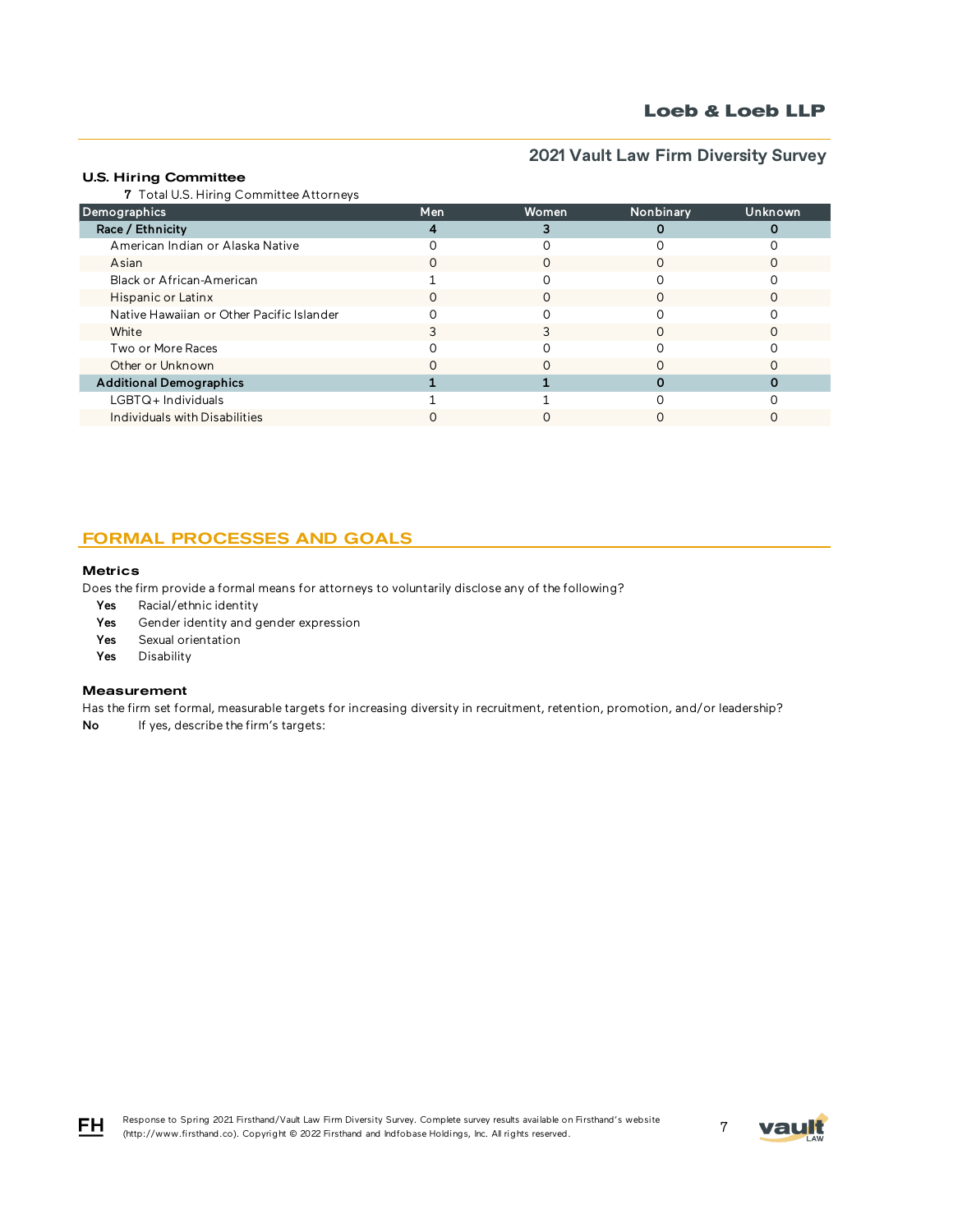# **2021 Vault Law Firm Diversity Survey**

### U.S. Hiring Committee

7 Total U.S. Hiring Committee Attorneys

| Demographics                              | <b>Men</b> | Women | Nonbinary | Unknown |
|-------------------------------------------|------------|-------|-----------|---------|
| Race / Ethnicity                          |            |       |           |         |
| American Indian or Alaska Native          |            |       |           |         |
| Asian                                     |            |       |           |         |
| Black or African-American                 |            |       |           |         |
| Hispanic or Latinx                        |            |       |           |         |
| Native Hawaiian or Other Pacific Islander |            |       |           |         |
| White                                     |            |       |           |         |
| Two or More Races                         |            |       |           |         |
| Other or Unknown                          |            |       |           |         |
| <b>Additional Demographics</b>            |            |       |           |         |
| LGBTQ+Individuals                         |            |       |           |         |
| Individuals with Disabilities             |            |       |           |         |

## FORMAL PROCESSES AND GOALS

#### **Metrics**

Does the firm provide a formal means for attorneys to voluntarily disclose any of the following?

- Yes Racial/ethnic identity
- Yes Gender identity and gender expression
- Yes Sexual orientation
- Yes Disability

### Measurement

Has the firm set formal, measurable targets for increasing diversity in recruitment, retention, promotion, and/or leadership?

No If yes, describe the firm's targets:



FH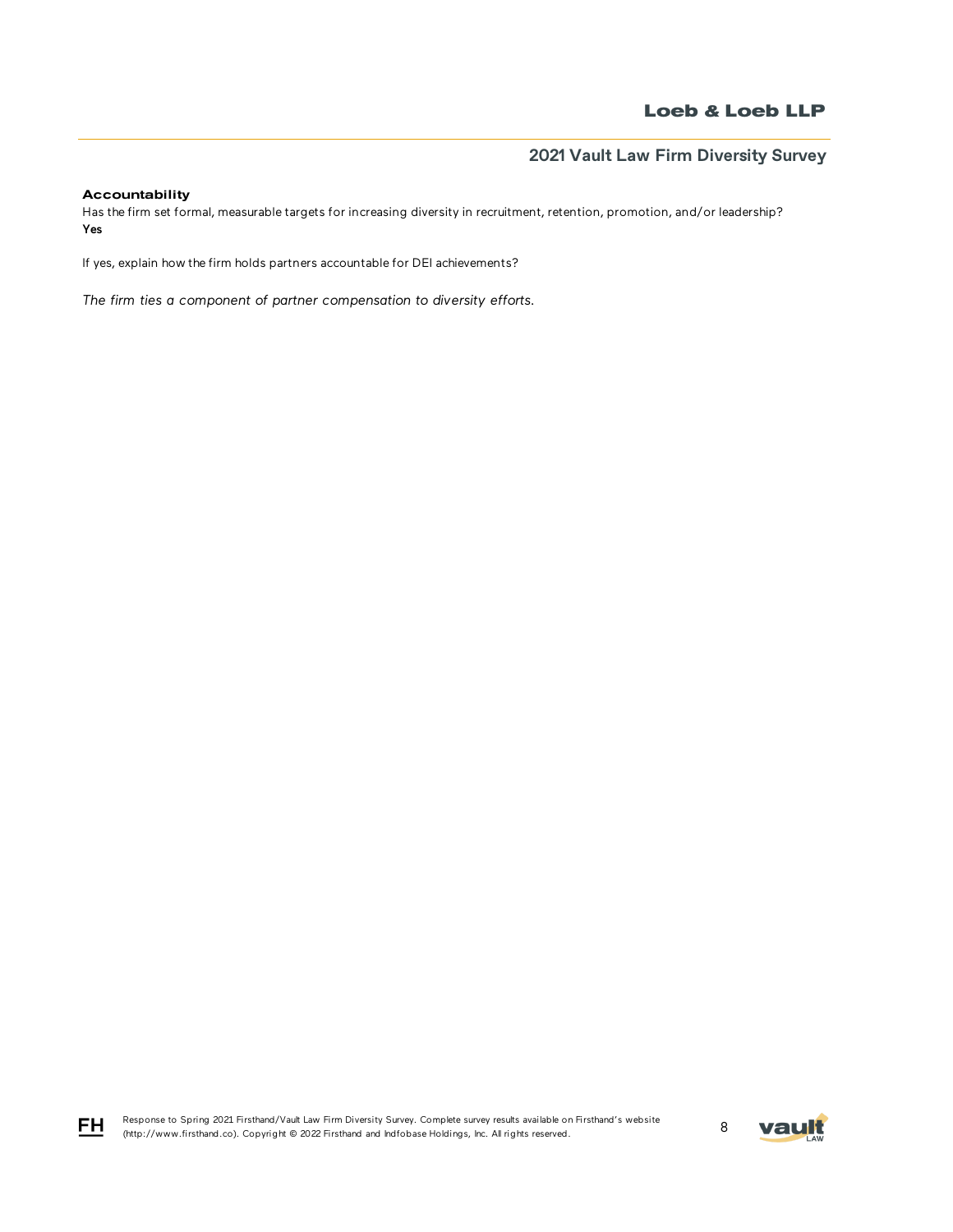## Accountability

Has the firm set formal, measurable targets for increasing diversity in recruitment, retention, promotion, and/or leadership? Yes

If yes, explain how the firm holds partners accountable for DEI achievements?

*The firm ties a component of partner compensation to diversity efforts.* 



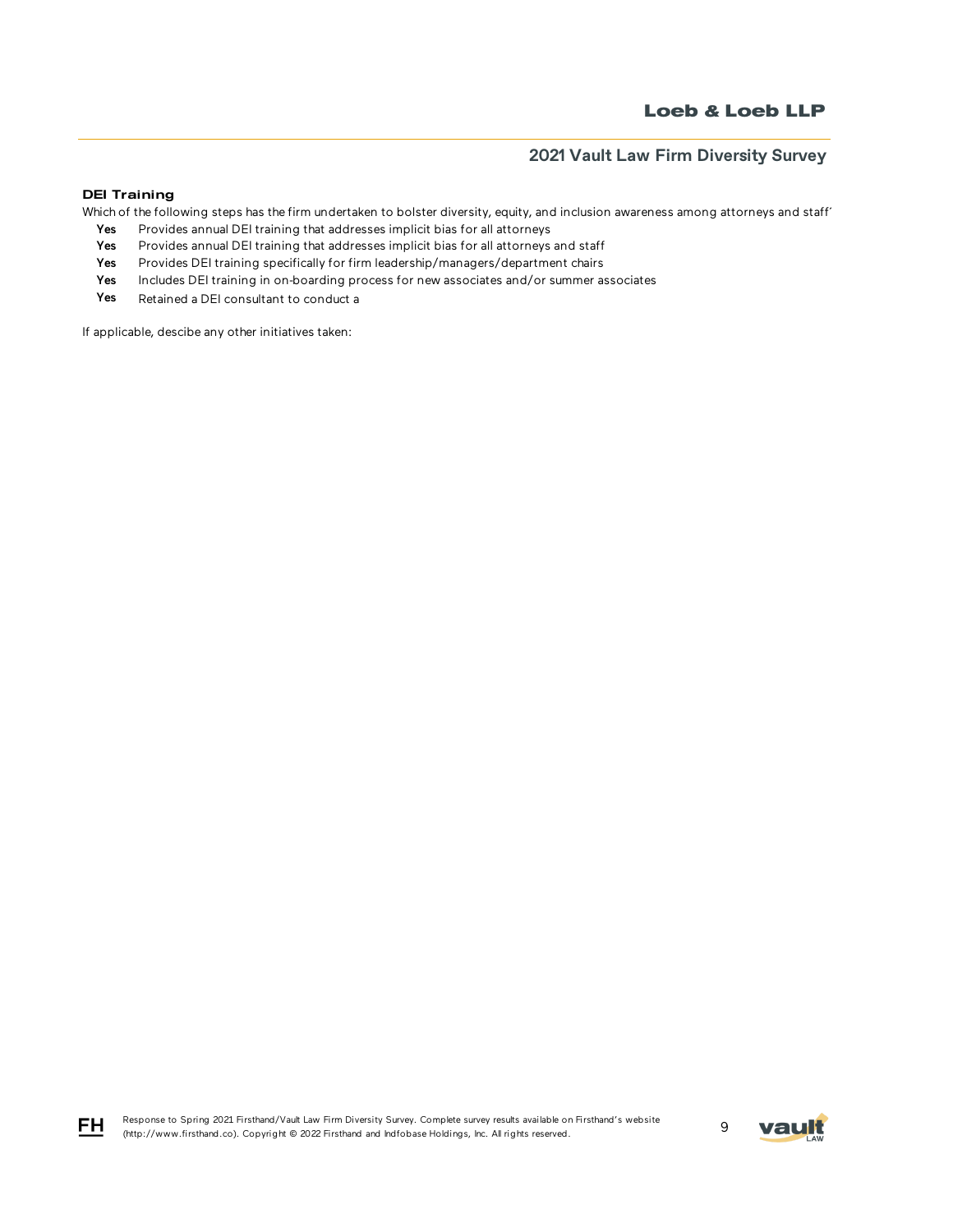### DEI Training

Which of the following steps has the firm undertaken to bolster diversity, equity, and inclusion awareness among attorneys and staff'

- Yes Provides annual DEI training that addresses implicit bias for all attorneys
- Yes Provides annual DEI training that addresses implicit bias for all attorneys and staff
- Yes Provides DEI training specifically for firm leadership/managers/department chairs
- Yes Includes DEI training in on-boarding process for new associates and/or summer associates
- Yes Retained a DEI consultant to conduct a

If applicable, descibe any other initiatives taken:



$$
\mathsf{F}\mathsf{H}
$$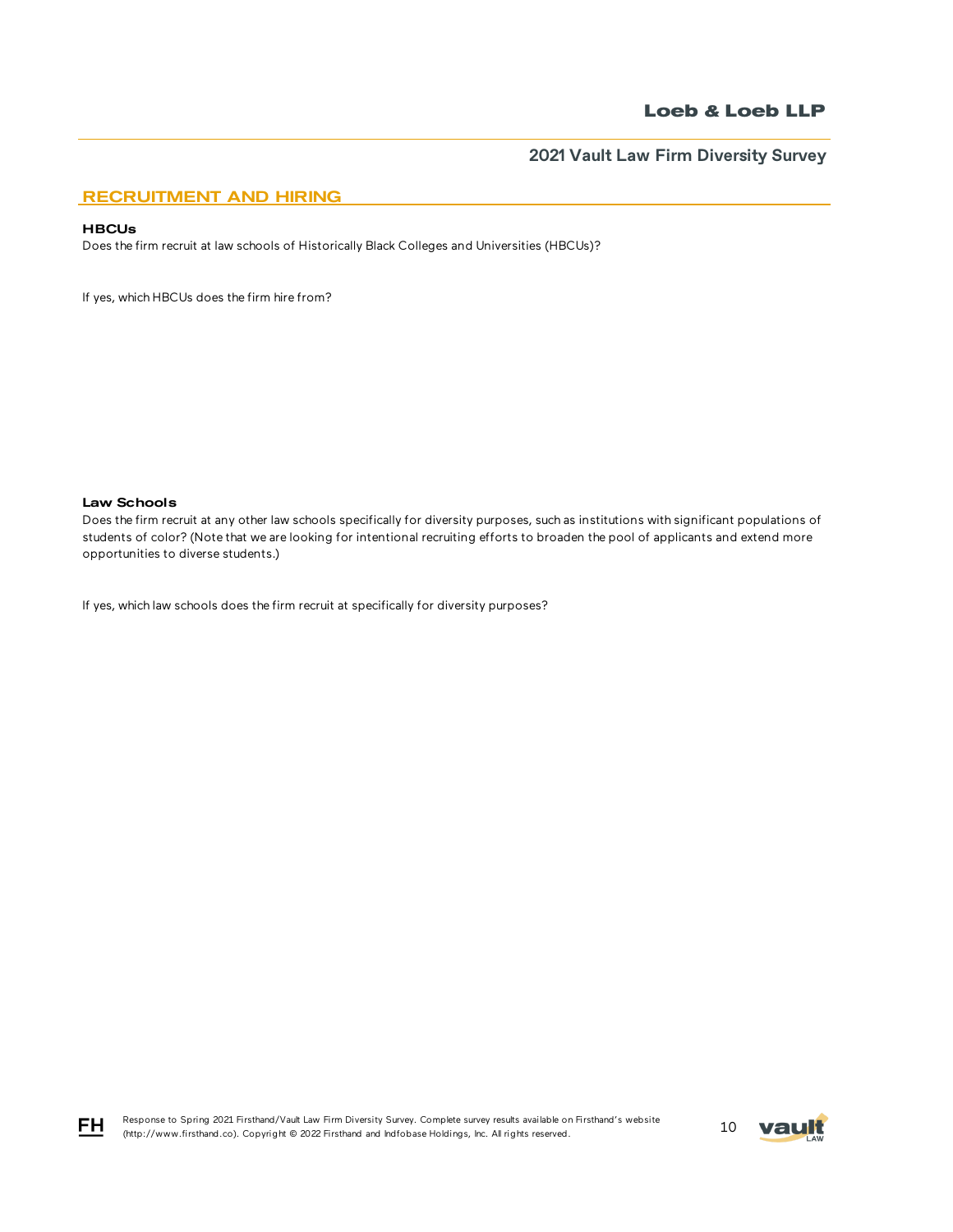## RECRUITMENT AND HIRING

### **HBCUs**

Does the firm recruit at law schools of Historically Black Colleges and Universities (HBCUs)?

If yes, which HBCUs does the firm hire from?

Law Schools

Does the firm recruit at any other law schools specifically for diversity purposes, such as institutions with significant populations of students of color? (Note that we are looking for intentional recruiting efforts to broaden the pool of applicants and extend more opportunities to diverse students.)

If yes, which law schools does the firm recruit at specifically for diversity purposes?



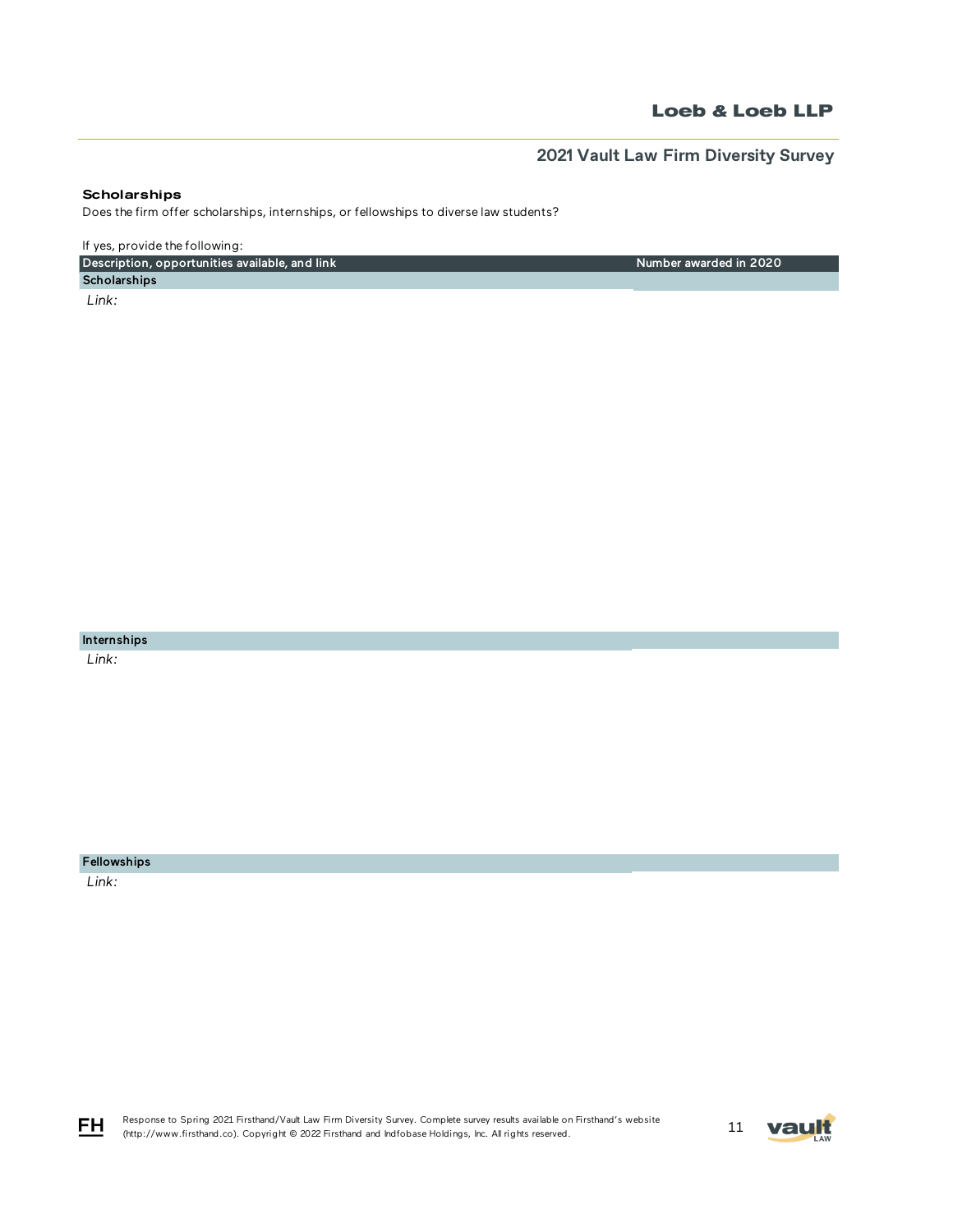# **2021 Vault Law Firm Diversity Survey**

Number awarded in 2020

### **Scholarships**

Does the firm offer scholarships, internships, or fellowships to diverse law students?

If yes, provide the following:

Description, opportunities available, and link

**Scholarships**  *Link:* 

Internships

 *Link:* 

Fellowships

 *Link:* 

FH

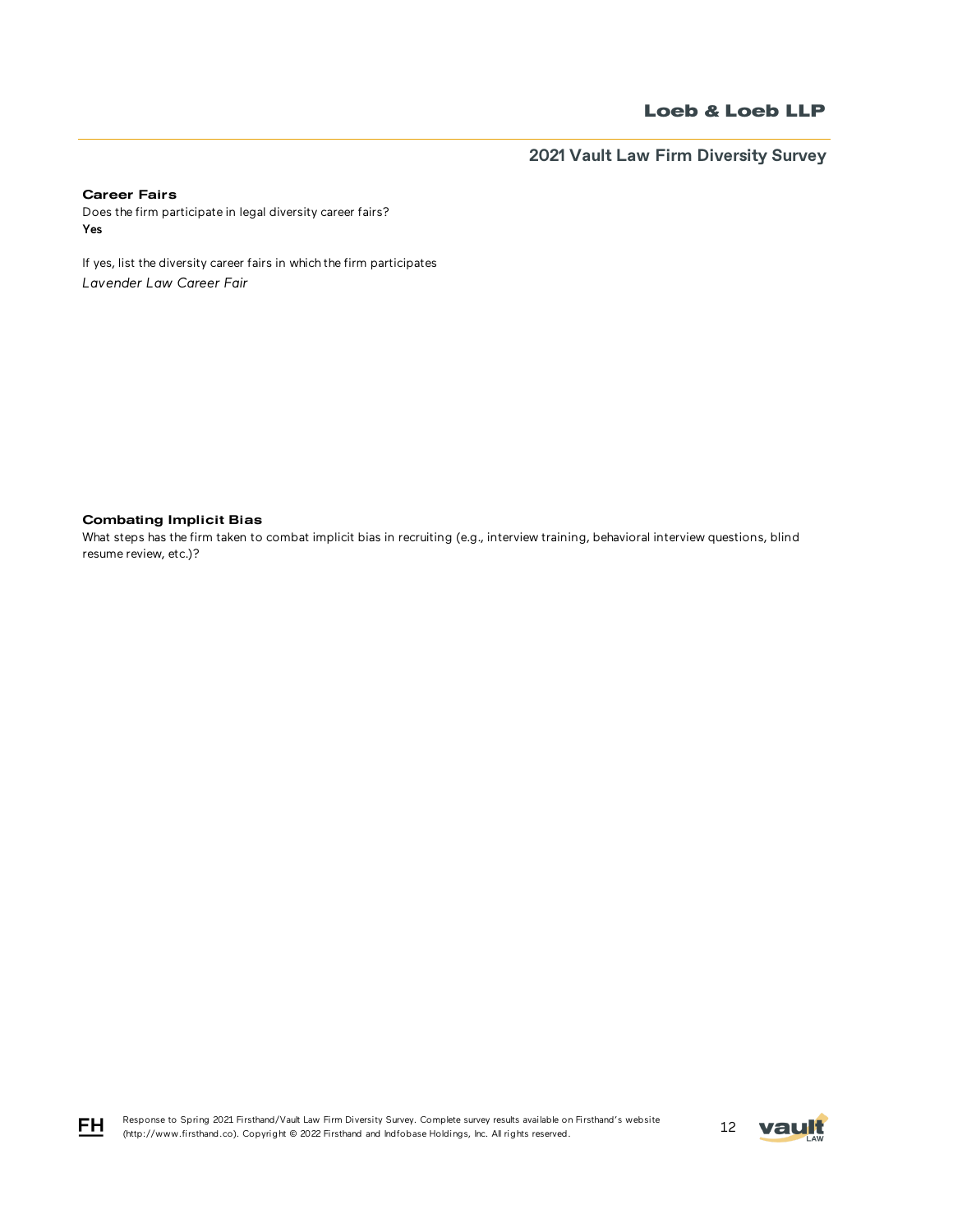**2021 Vault Law Firm Diversity Survey**

## Career Fairs

Does the firm participate in legal diversity career fairs? Yes

If yes, list the diversity career fairs in which the firm participates *Lavender Law Career Fair*

Combating Implicit Bias

What steps has the firm taken to combat implicit bias in recruiting (e.g., interview training, behavioral interview questions, blind resume review, etc.)?





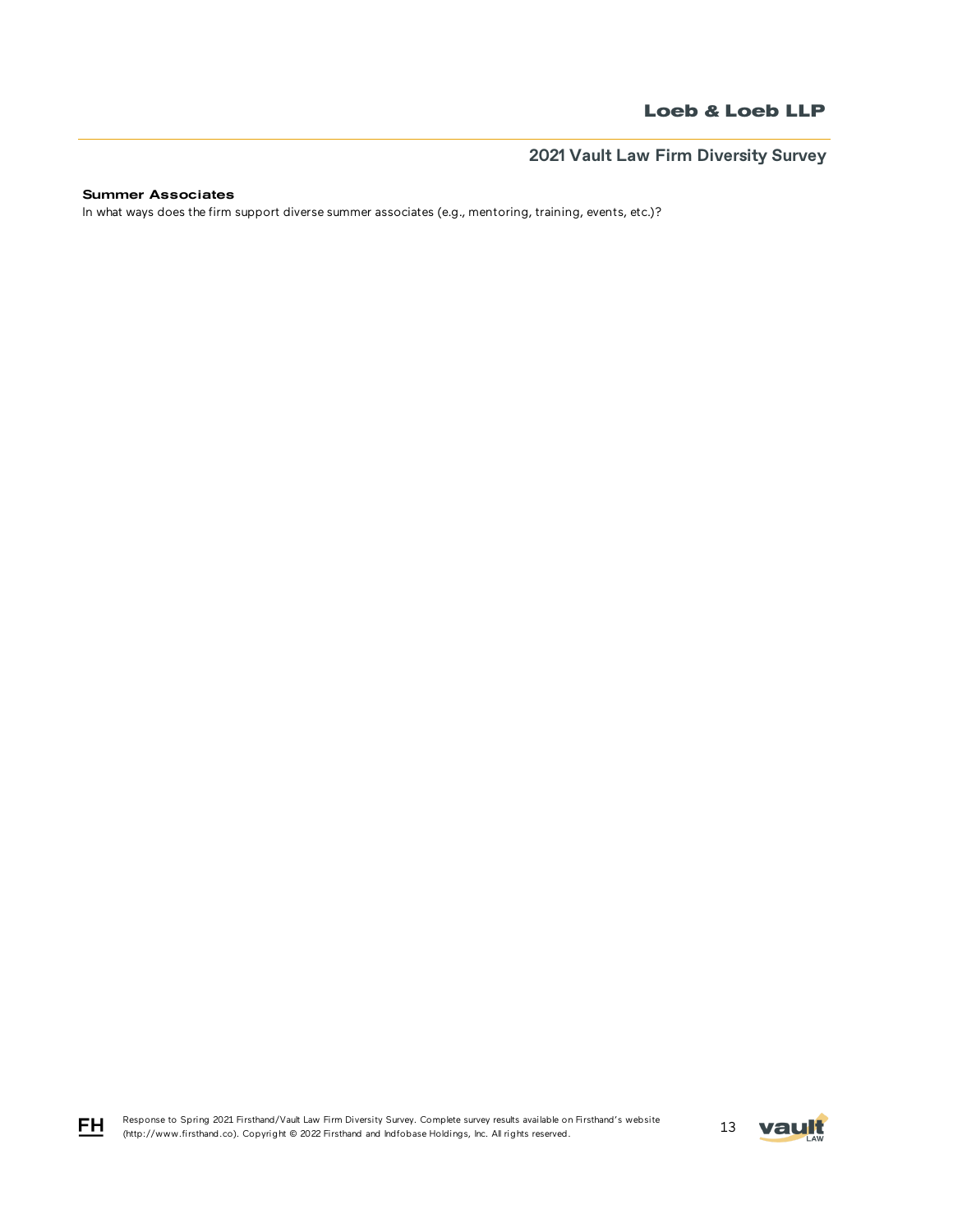## Summer Associates

In what ways does the firm support diverse summer associates (e.g., mentoring, training, events, etc.)?

Response to Spring 2021 Firsthand/Vault Law Firm Diversity Survey. Complete survey results available on Firsthand's website Response to Spring 2021 Firsthand/Vault Law Firm Diversity Survey. Complete survey results available on Firsthand's website<br>(http://www.firsthand.co). Copyright © 2022 Firsthand and Indfobase Holdings, Inc. All rights rese



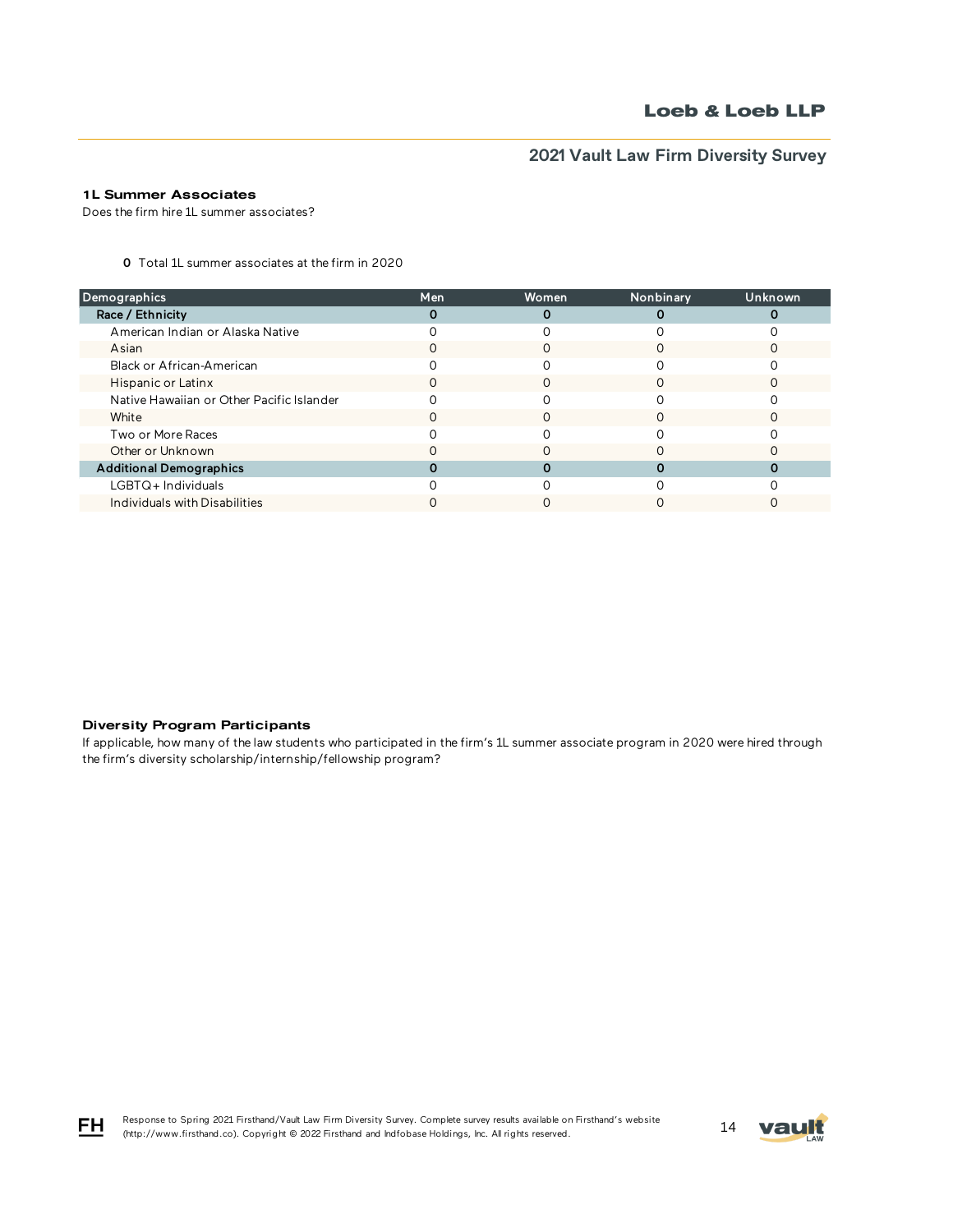## 1L Summer Associates

Does the firm hire 1L summer associates?

0 Total 1L summer associates at the firm in 2020

| Men | Women | Nonbinary | Unknown |
|-----|-------|-----------|---------|
|     | 0     |           |         |
|     |       |           |         |
|     |       |           |         |
|     |       |           |         |
|     |       |           |         |
|     |       |           |         |
|     |       |           |         |
|     |       |           |         |
|     |       |           |         |
|     |       |           |         |
|     |       |           |         |
|     |       |           |         |
|     |       |           |         |

### Diversity Program Participants

If applicable, how many of the law students who participated in the firm's 1L summer associate program in 2020 were hired through the firm's diversity scholarship/internship/fellowship program?



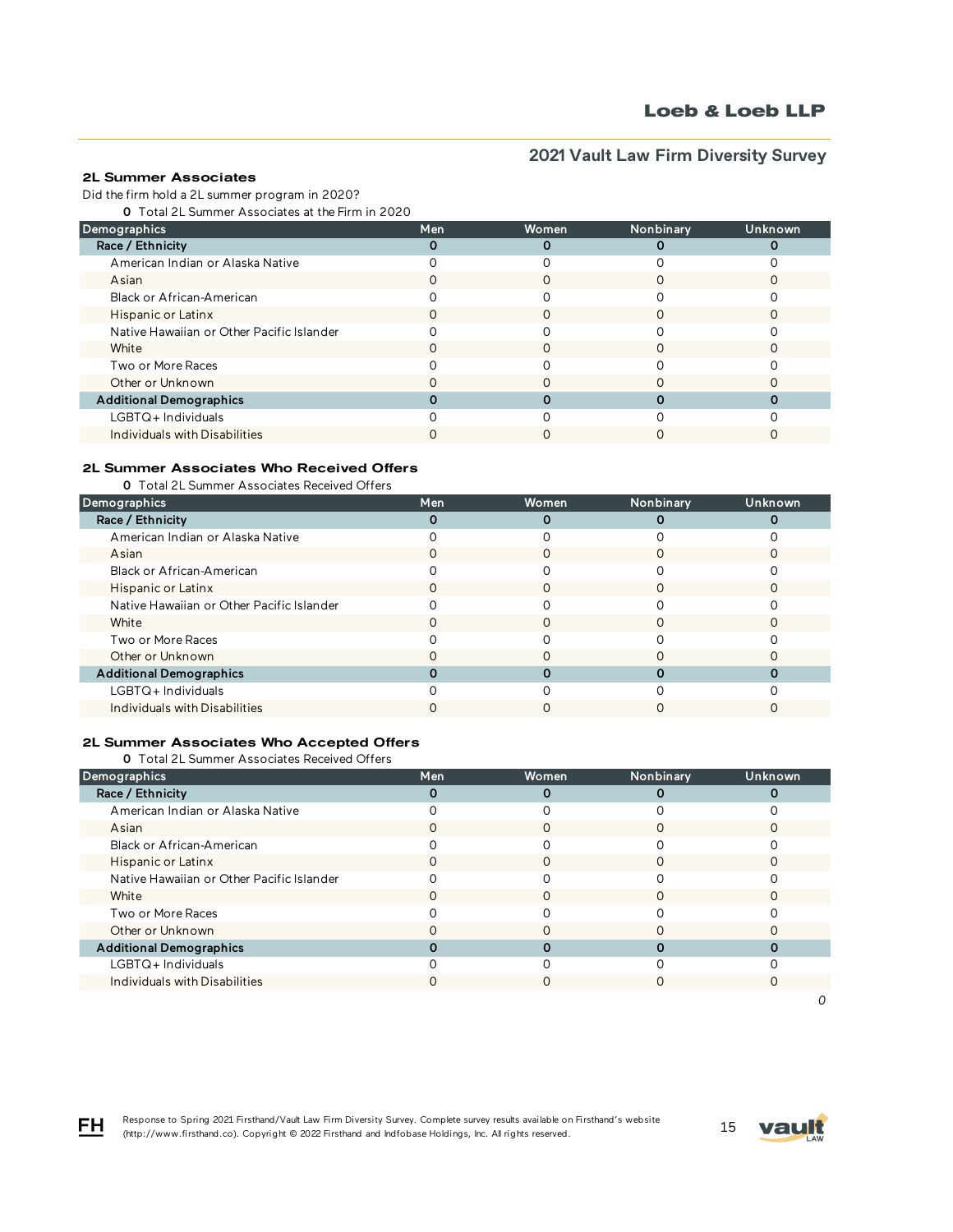## 2L Summer Associates

Did the firm hold a 2L summer program in 2020?

0 Total 2L Summer Associates at the Firm in 2020

| Demographics                              | <b>Men</b> | <b>Women</b> | Nonbinary | Unknown |
|-------------------------------------------|------------|--------------|-----------|---------|
| Race / Ethnicity                          |            |              |           |         |
| American Indian or Alaska Native          |            |              |           |         |
| Asian                                     |            |              |           |         |
| Black or African-American                 |            |              |           |         |
| Hispanic or Latinx                        |            | O            |           |         |
| Native Hawaiian or Other Pacific Islander |            |              |           |         |
| White                                     |            |              |           |         |
| Two or More Races                         |            |              |           |         |
| Other or Unknown                          |            |              |           |         |
| <b>Additional Demographics</b>            |            |              |           |         |
| LGBTQ+Individuals                         |            |              |           |         |
| Individuals with Disabilities             |            |              |           |         |

## 2L Summer Associates Who Received Offers

0 Total 2L Summer Associates Received Offers

| Demographics                              | Men | <b>Women</b> | Nonbinary | Unknown |
|-------------------------------------------|-----|--------------|-----------|---------|
| Race / Ethnicity                          |     |              |           |         |
| American Indian or Alaska Native          |     |              |           |         |
| Asian                                     |     |              |           |         |
| Black or African-American                 |     |              |           |         |
| Hispanic or Latinx                        |     | Ω            |           |         |
| Native Hawaiian or Other Pacific Islander |     |              |           |         |
| White                                     |     |              |           |         |
| Two or More Races                         |     |              |           |         |
| Other or Unknown                          |     |              |           |         |
| <b>Additional Demographics</b>            |     |              |           |         |
| LGBTQ+Individuals                         |     |              |           |         |
| Individuals with Disabilities             |     |              |           |         |

### 2L Summer Associates Who Accepted Offers

0 Total 2L Summer Associates Received Offers

| Demographics                              | Men | Women | Nonbinary | Unknown |
|-------------------------------------------|-----|-------|-----------|---------|
| Race / Ethnicity                          |     | 0     |           |         |
| American Indian or Alaska Native          |     |       |           |         |
| Asian                                     |     |       |           |         |
| Black or African-American                 |     |       |           |         |
| Hispanic or Latinx                        |     |       |           |         |
| Native Hawaiian or Other Pacific Islander |     |       |           |         |
| White                                     |     |       |           |         |
| Two or More Races                         |     |       |           |         |
| Other or Unknown                          |     |       |           |         |
| <b>Additional Demographics</b>            |     |       |           |         |
| $LGBTQ+$ Individuals                      |     |       |           |         |
| Individuals with Disabilities             |     | Ω     |           |         |
|                                           |     |       |           |         |



FH.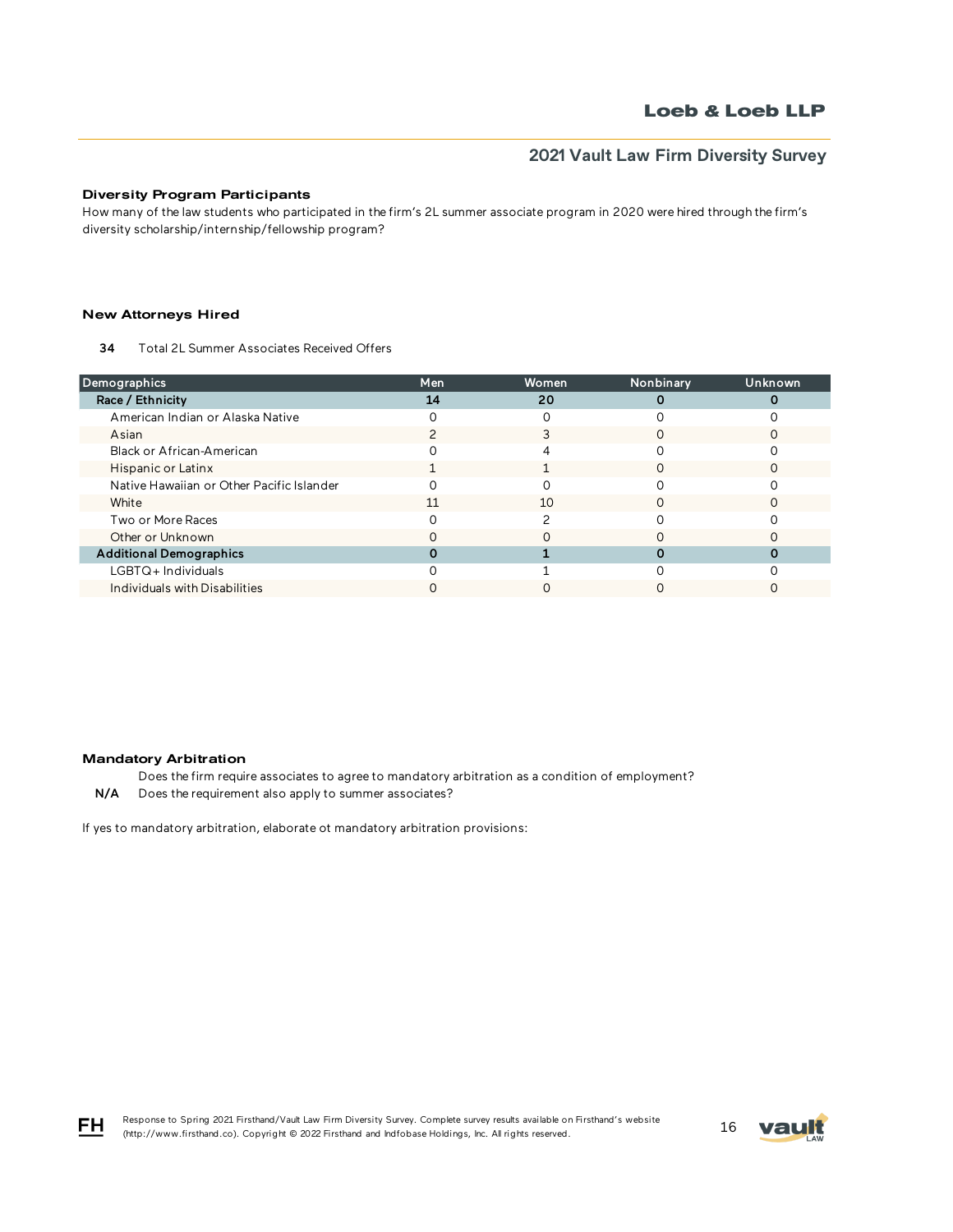### Diversity Program Participants

How many of the law students who participated in the firm's 2L summer associate program in 2020 were hired through the firm's diversity scholarship/internship/fellowship program?

### New Attorneys Hired

34 Total 2L Summer Associates Received Offers

| Demographics                              | Men | Women | Nonbinary | Unknown |
|-------------------------------------------|-----|-------|-----------|---------|
| Race / Ethnicity                          | 14  | 20    |           |         |
| American Indian or Alaska Native          |     |       |           |         |
| Asian                                     |     |       |           |         |
| Black or African-American                 |     |       |           |         |
| Hispanic or Latinx                        |     |       |           |         |
| Native Hawaiian or Other Pacific Islander |     |       |           |         |
| White                                     | 11  | 10    |           |         |
| Two or More Races                         |     |       |           |         |
| Other or Unknown                          |     |       |           |         |
| <b>Additional Demographics</b>            |     |       |           |         |
| LGBTQ+Individuals                         |     |       |           |         |
| Individuals with Disabilities             |     |       |           |         |

#### Mandatory Arbitration

Does the firm require associates to agree to mandatory arbitration as a condition of employment? N/A Does the requirement also apply to summer associates?

If yes to mandatory arbitration, elaborate ot mandatory arbitration provisions:



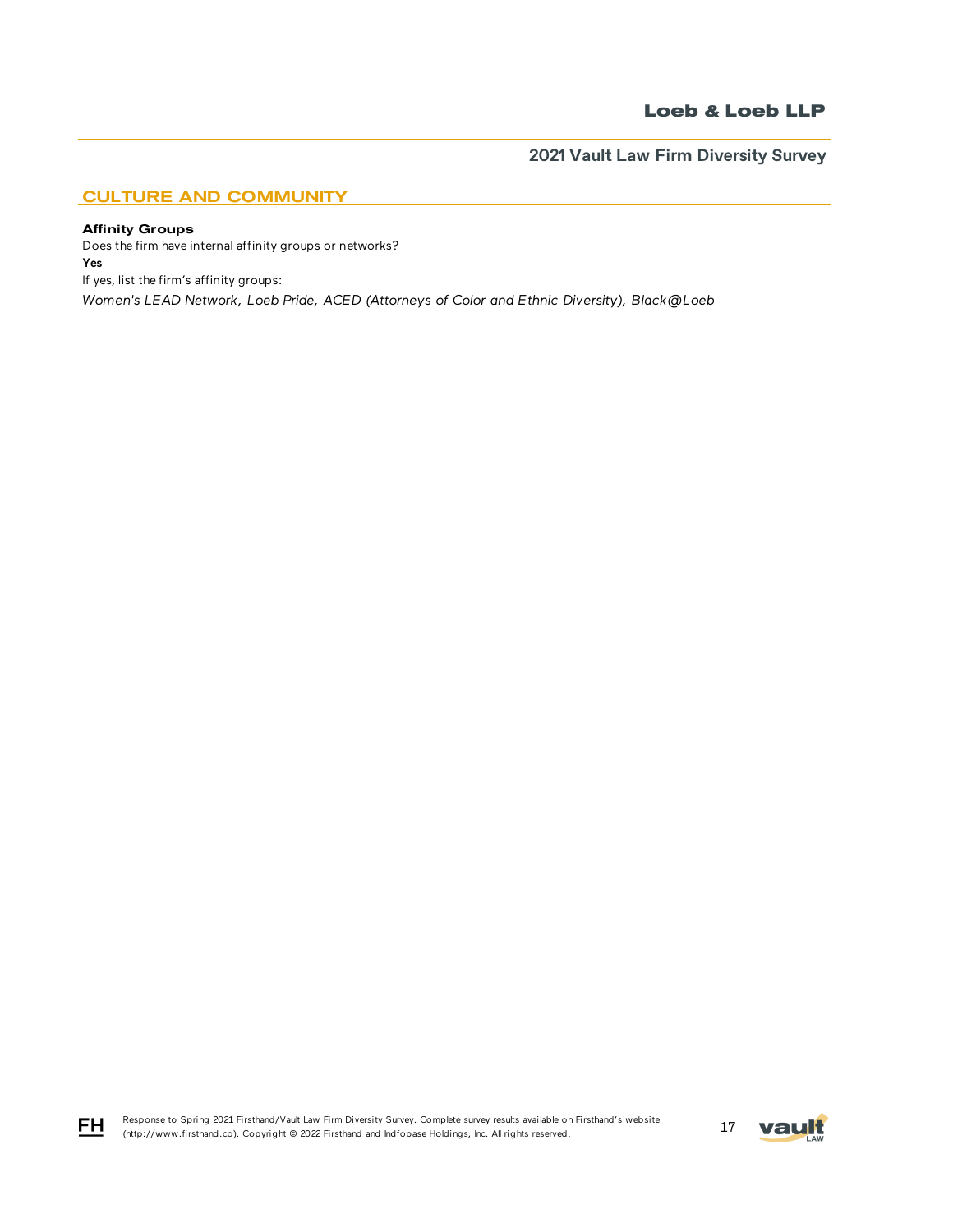## CULTURE AND COMMUNITY

### Affinity Groups

FH

Does the firm have internal affinity groups or networks? Yes If yes, list the firm's affinity groups: *Women's LEAD Network, Loeb Pride, ACED (Attorneys of Color and Ethnic Diversity), Black@Loeb*

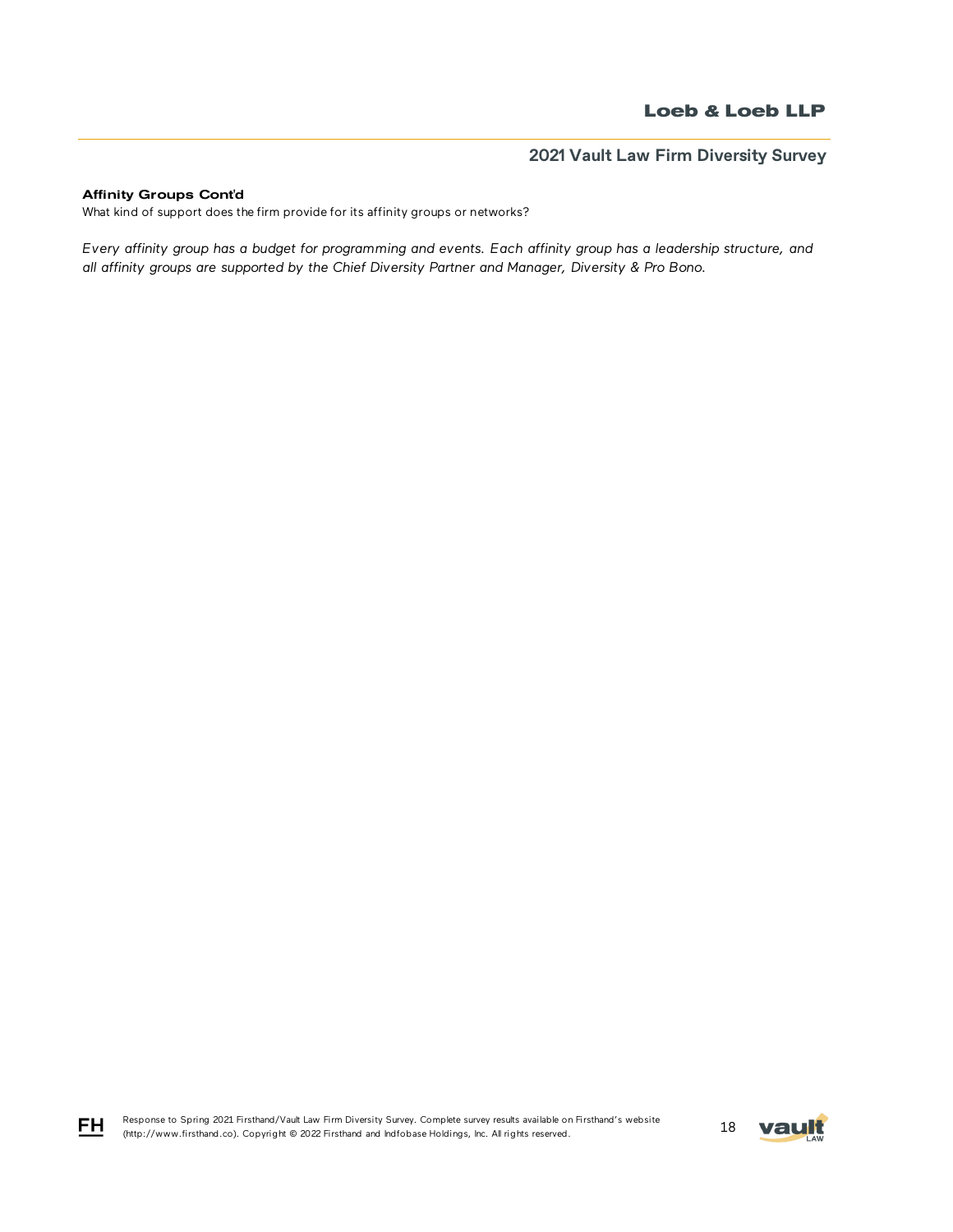### Affinity Groups Cont'd

FH

What kind of support does the firm provide for its affinity groups or networks?

*Every affinity group has a budget for programming and events. Each affinity group has a leadership structure, and all affinity groups are supported by the Chief Diversity Partner and Manager, Diversity & Pro Bono.*

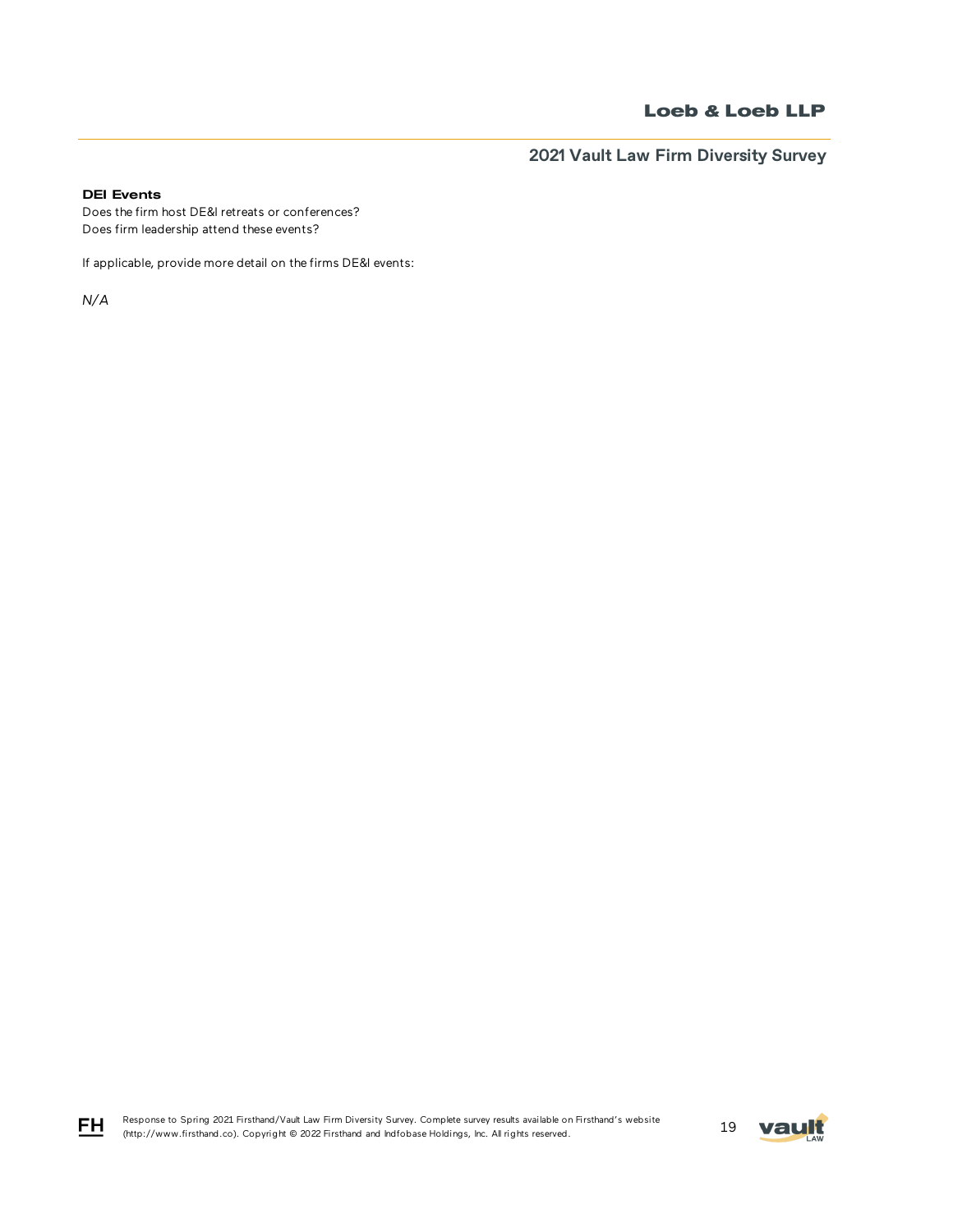**2021 Vault Law Firm Diversity Survey**

## DEI Events

Does the firm host DE&I retreats or conferences? Does firm leadership attend these events?

If applicable, provide more detail on the firms DE&I events:

*N/A*



$$
\underline{\mathsf{FH}}
$$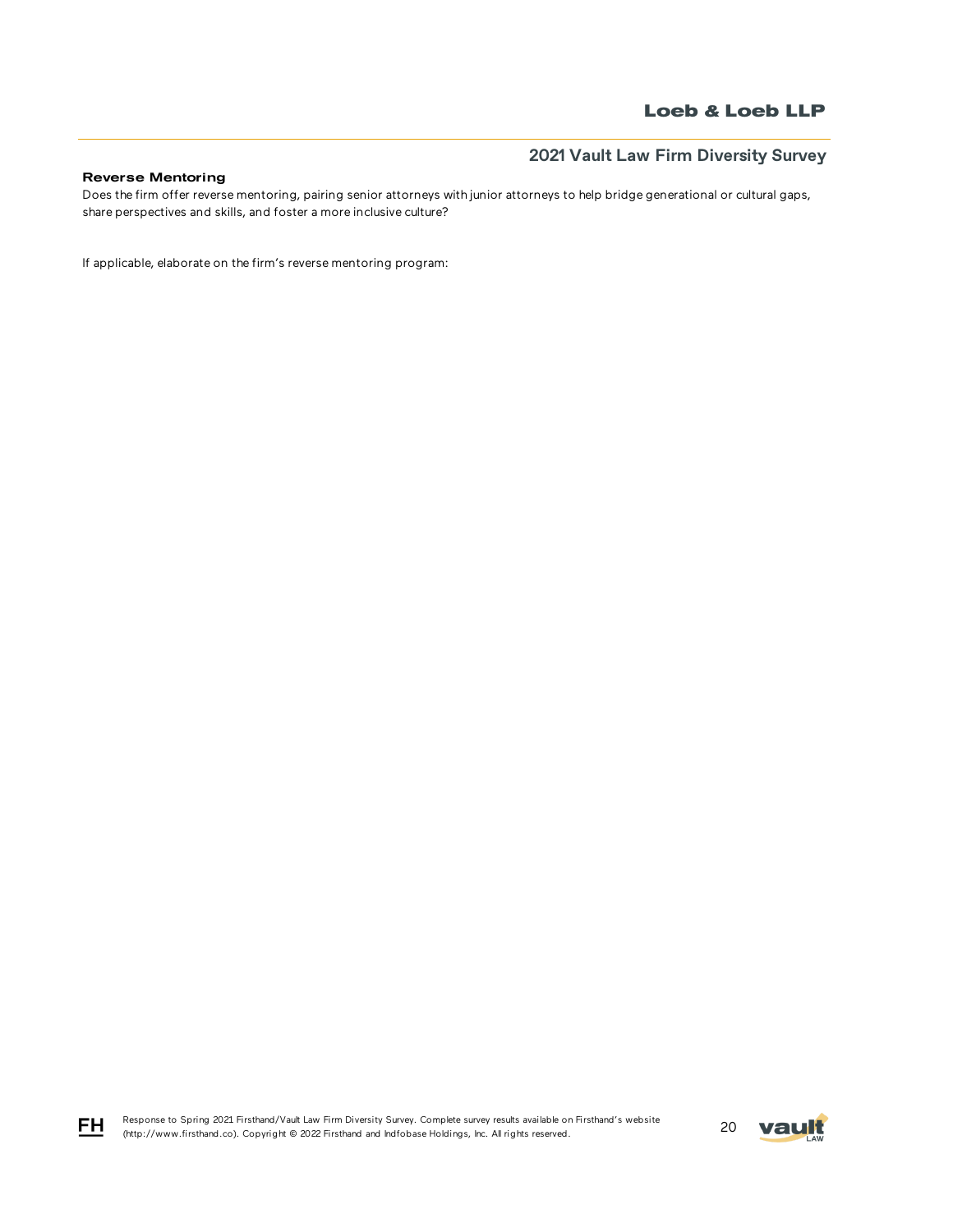## Reverse Mentoring

Does the firm offer reverse mentoring, pairing senior attorneys with junior attorneys to help bridge generational or cultural gaps, share perspectives and skills, and foster a more inclusive culture?

If applicable, elaborate on the firm's reverse mentoring program:

Response to Spring 2021 Firsthand/Vault Law Firm Diversity Survey. Complete survey results available on Firsthand's website Response to Spring 2021 Firstnand/vault Law Firm Diversity Survey. Complete survey results available on Firstnand's website<br>(http://www.firsthand.co). Copyright © 2022 Firsthand and Indfobase Holdings, Inc. All rights rese



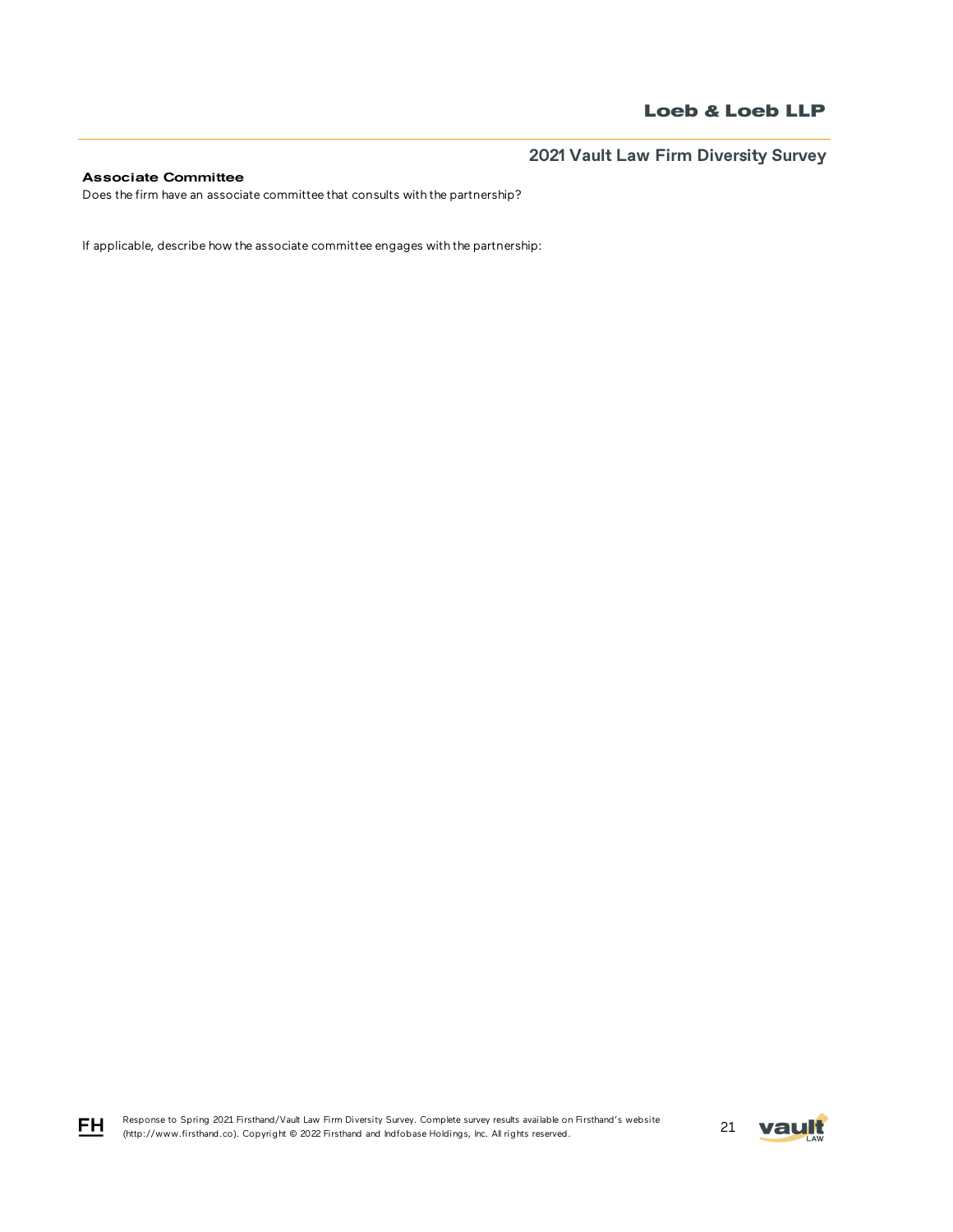## Associate Committee

Does the firm have an associate committee that consults with the partnership?

If applicable, describe how the associate committee engages with the partnership:

Response to Spring 2021 Firsthand/Vault Law Firm Diversity Survey. Complete survey results available on Firsthand's website Response to Spring 2021 Firsthand/Vault Law Firm Diversity Survey. Complete survey results available on Firsthand's Website<br>21 May 1.1 (http://www.firsthand.co). Copyright © 2022 Firsthand and Indfobase Holdings, Inc. All



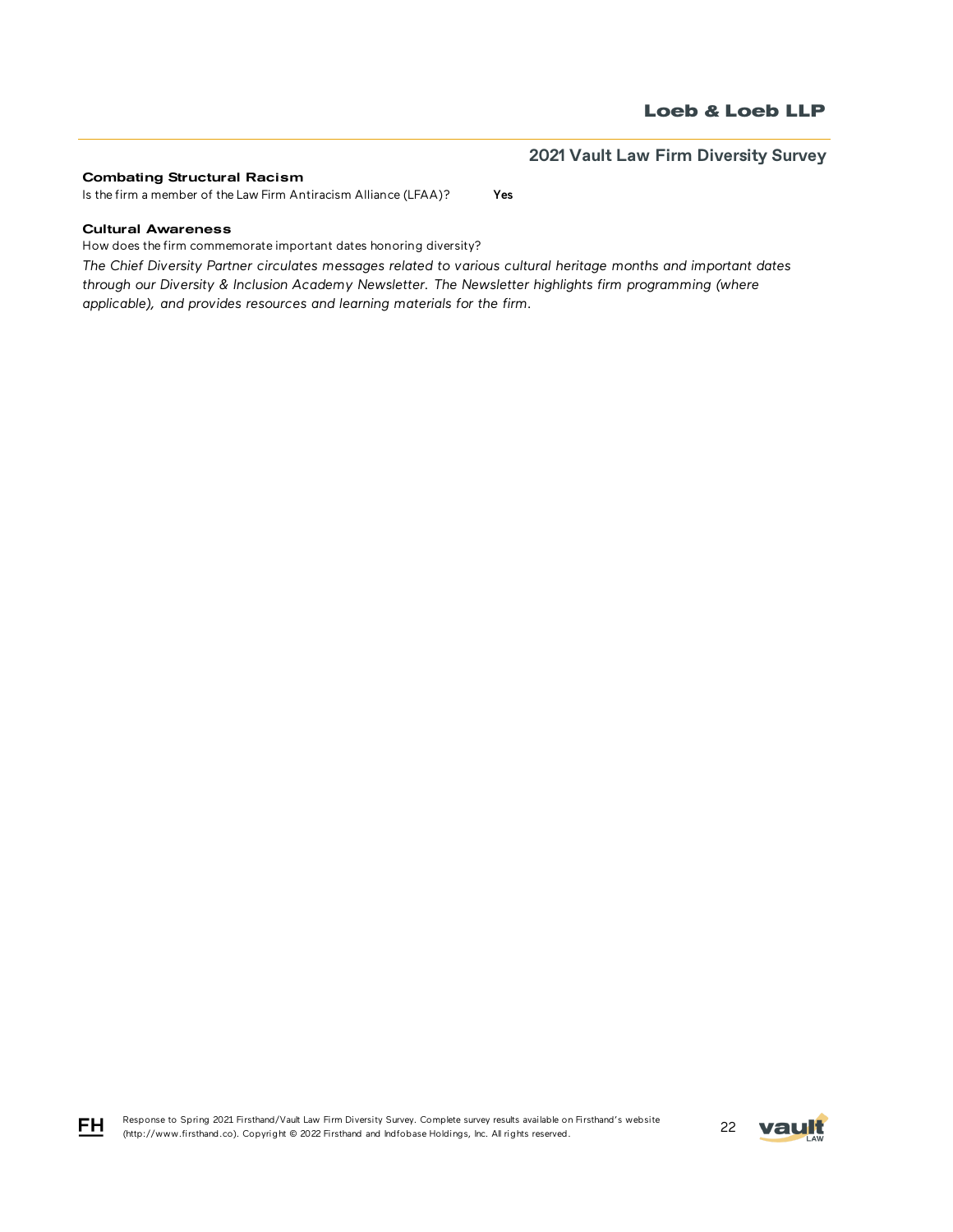#### Combating Structural Racism

Is the firm a member of the Law Firm Antiracism Alliance (LFAA)? Yes

### Cultural Awareness

How does the firm commemorate important dates honoring diversity?

*The Chief Diversity Partner circulates messages related to various cultural heritage months and important dates through our Diversity & Inclusion Academy Newsletter. The Newsletter highlights firm programming (where applicable), and provides resources and learning materials for the firm.*





FH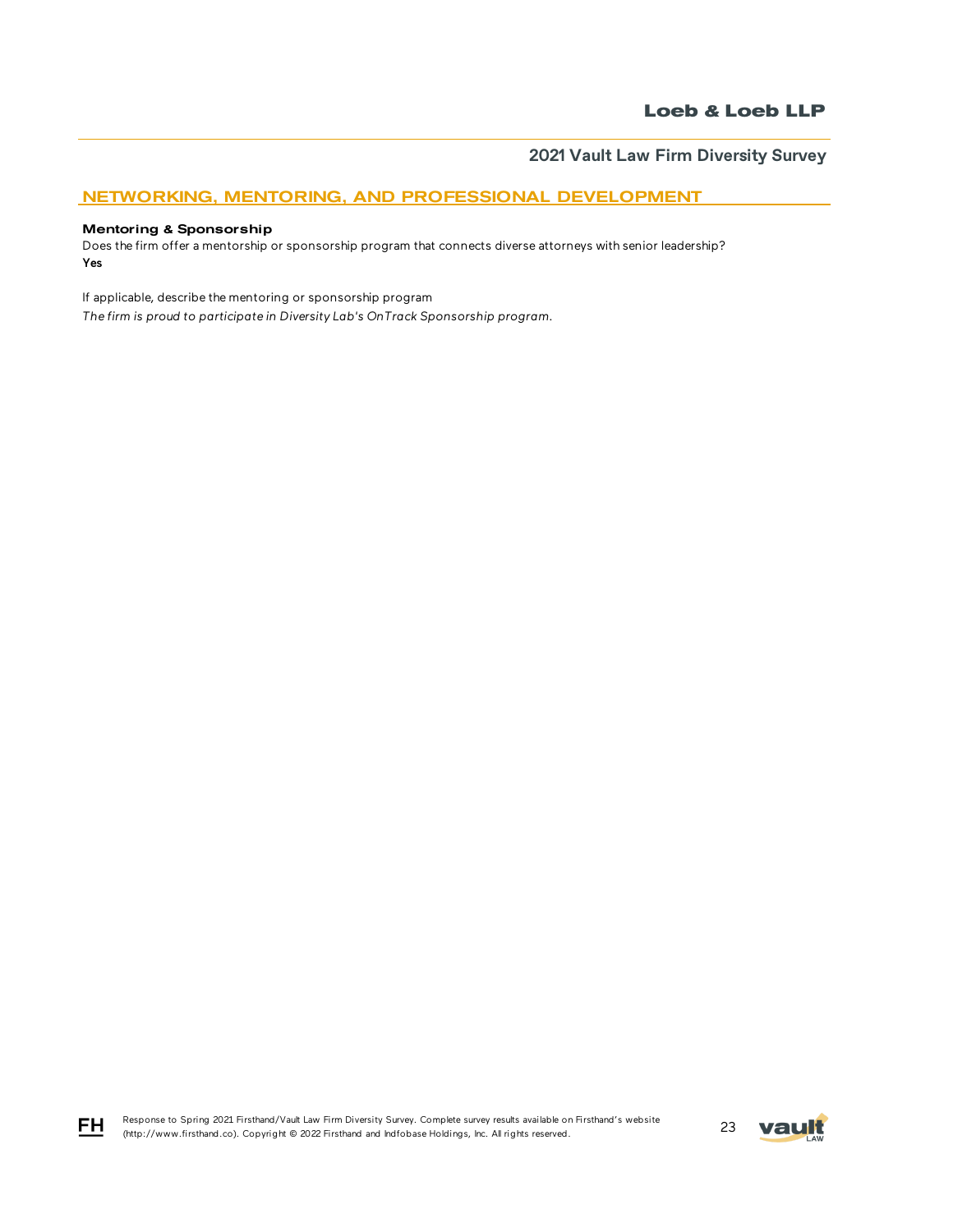## NETWORKING, MENTORING, AND PROFESSIONAL DEVELOPMENT

### Mentoring & Sponsorship

FH

Does the firm offer a mentorship or sponsorship program that connects diverse attorneys with senior leadership? Yes

If applicable, describe the mentoring or sponsorship program

*The firm is proud to participate in Diversity Lab's OnTrack Sponsorship program.* 

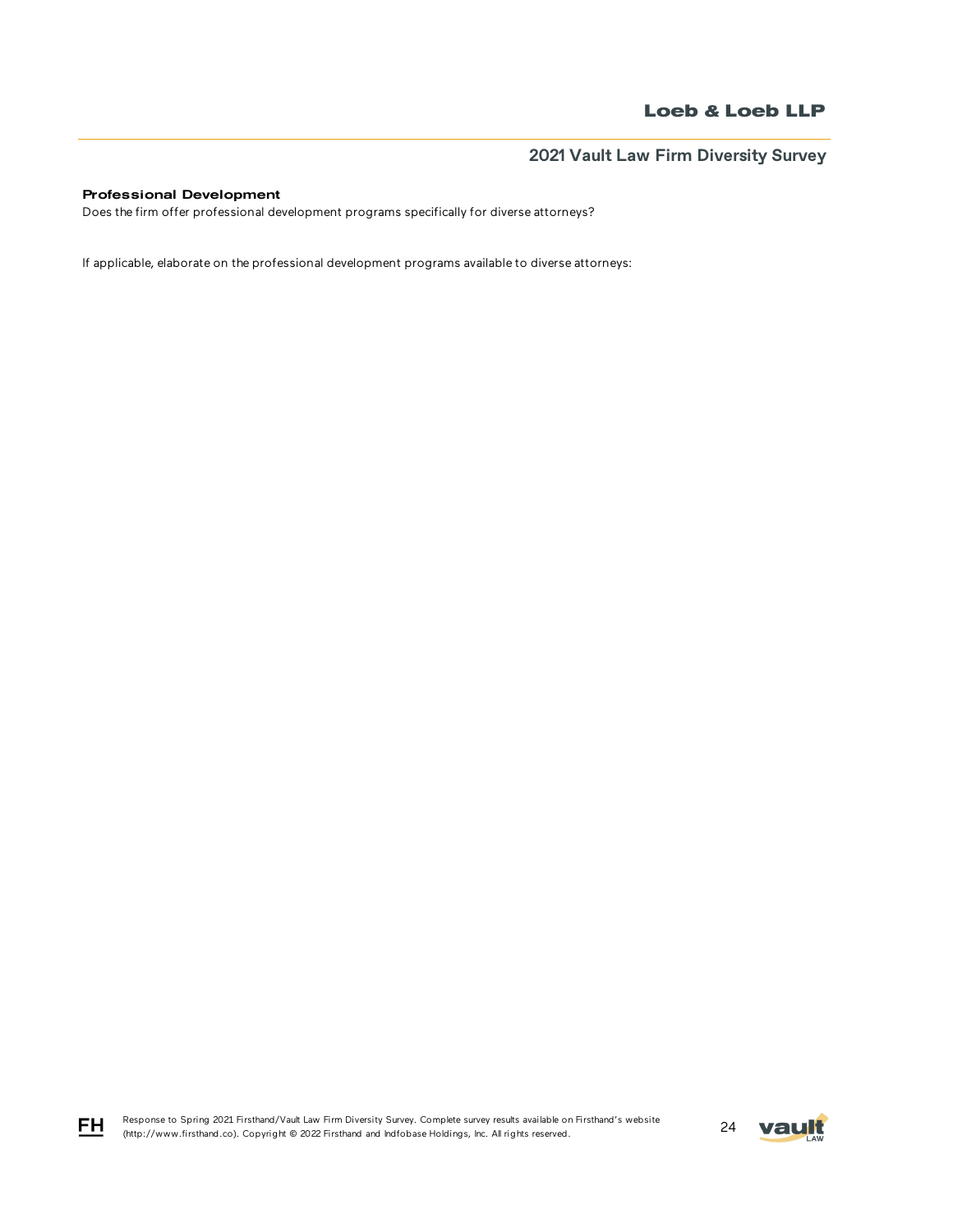## Professional Development

Does the firm offer professional development programs specifically for diverse attorneys?

If applicable, elaborate on the professional development programs available to diverse attorneys:

Response to Spring 2021 Firsthand/Vault Law Firm Diversity Survey. Complete survey results available on Firsthand's website Response to Spring 2021 Firsthand/vault Law Firm Diversity Survey. Complete survey results available on Firsthand's website<br>(http://www.firsthand.co). Copyright © 2022 Firsthand and Indfobase Holdings, Inc. All rights rese



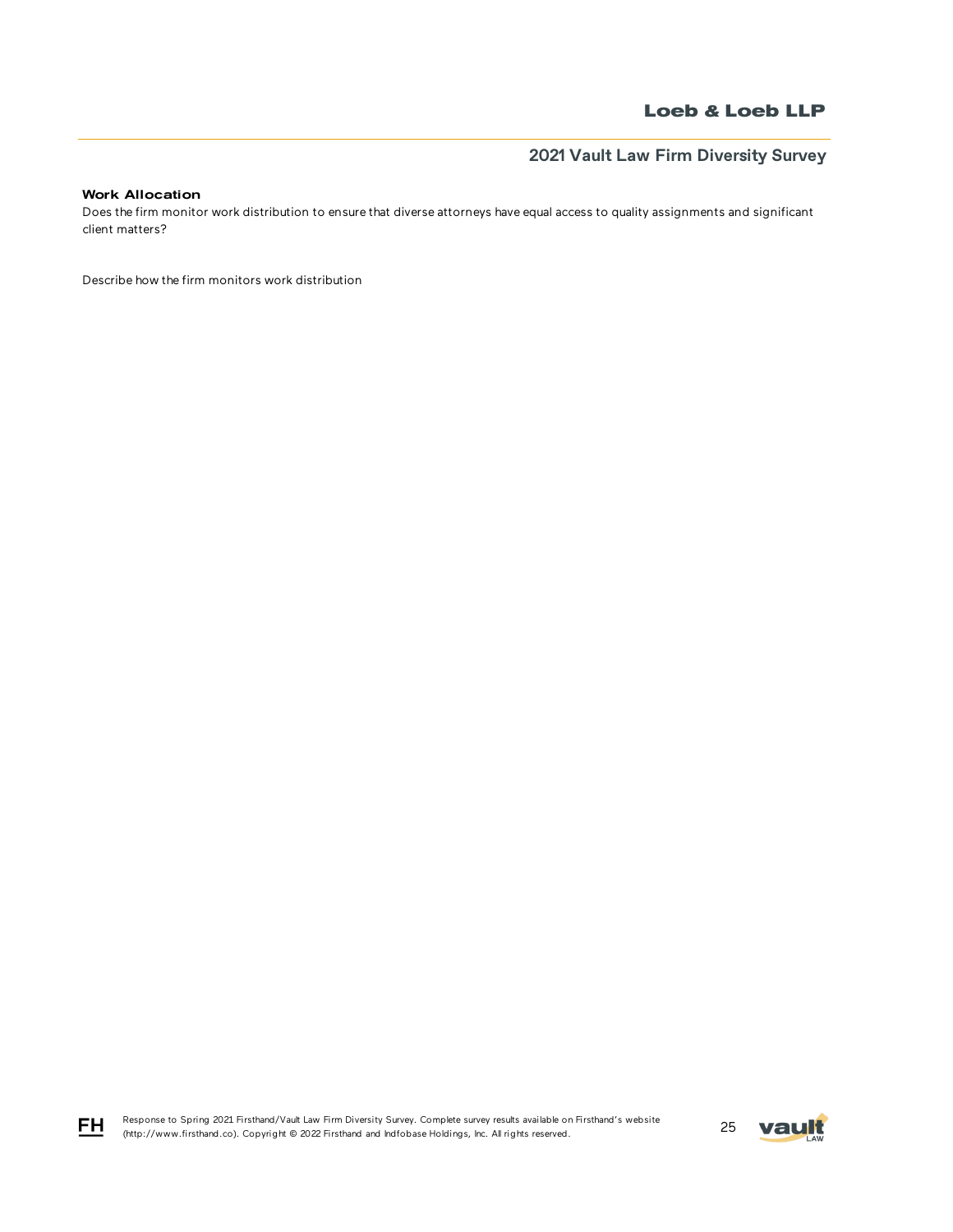# **2021 Vault Law Firm Diversity Survey**

### Work Allocation

Does the firm monitor work distribution to ensure that diverse attorneys have equal access to quality assignments and significant client matters?

Describe how the firm monitors work distribution

Response to Spring 2021 Firsthand/Vault Law Firm Diversity Survey. Complete survey results available on Firsthand's website Response to Spring 2021 Firstnand/vault Law Firm Diversity Survey. Complete survey results available on Firstnand's website<br>(http://www.firsthand.co). Copyright © 2022 Firsthand and Indfobase Holdings, Inc. All rights rese



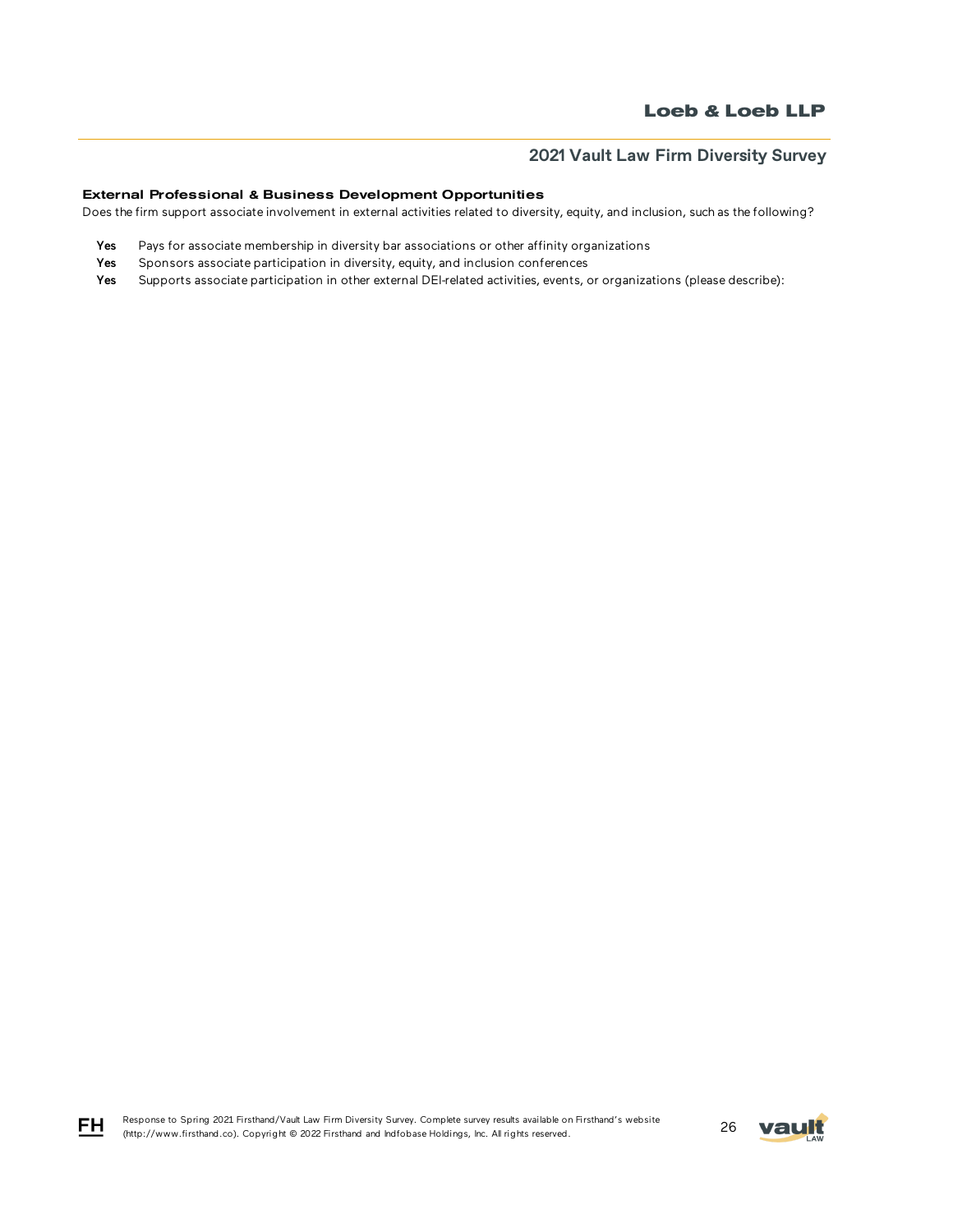### External Professional & Business Development Opportunities

Does the firm support associate involvement in external activities related to diversity, equity, and inclusion, such as the following?

- Yes Pays for associate membership in diversity bar associations or other affinity organizations
- Yes Sponsors associate participation in diversity, equity, and inclusion conferences
- Yes Supports associate participation in other external DEI-related activities, events, or organizations (please describe):

FH

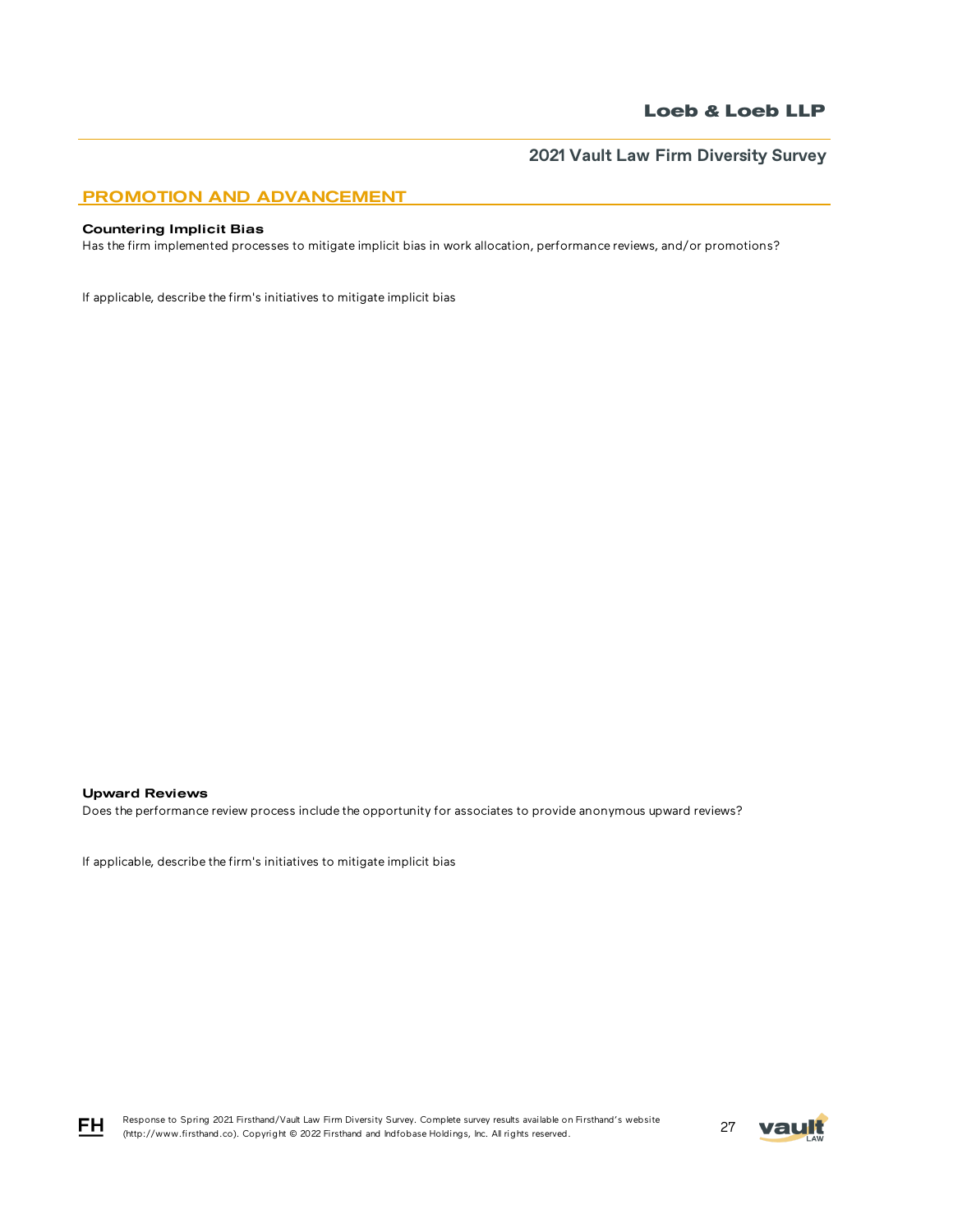**2021 Vault Law Firm Diversity Survey**

## PROMOTION AND ADVANCEMENT

#### Countering Implicit Bias

Has the firm implemented processes to mitigate implicit bias in work allocation, performance reviews, and/or promotions?

If applicable, describe the firm's initiatives to mitigate implicit bias

### Upward Reviews

Does the performance review process include the opportunity for associates to provide anonymous upward reviews?

If applicable, describe the firm's initiatives to mitigate implicit bias



FH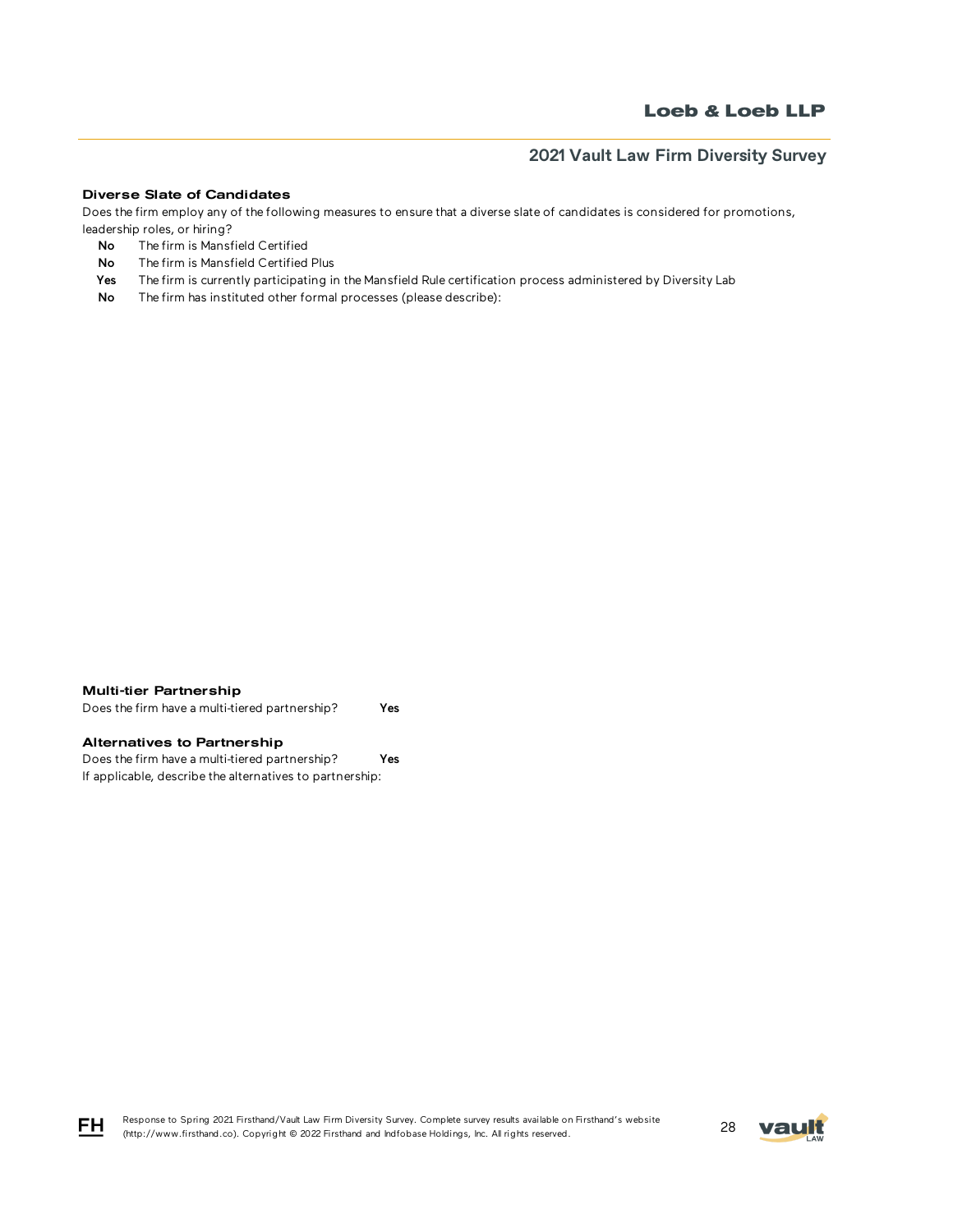### Diverse Slate of Candidates

Does the firm employ any of the following measures to ensure that a diverse slate of candidates is considered for promotions, leadership roles, or hiring?

- No The firm is Mansfield Certified
- No The firm is Mansfield Certified Plus
- Yes The firm is currently participating in the Mansfield Rule certification process administered by Diversity Lab
- No The firm has instituted other formal processes (please describe):

#### Multi-tier Partnership

Does the firm have a multi-tiered partnership? Yes

### Alternatives to Partnership

Does the firm have a multi-tiered partnership? Yes If applicable, describe the alternatives to partnership:





FH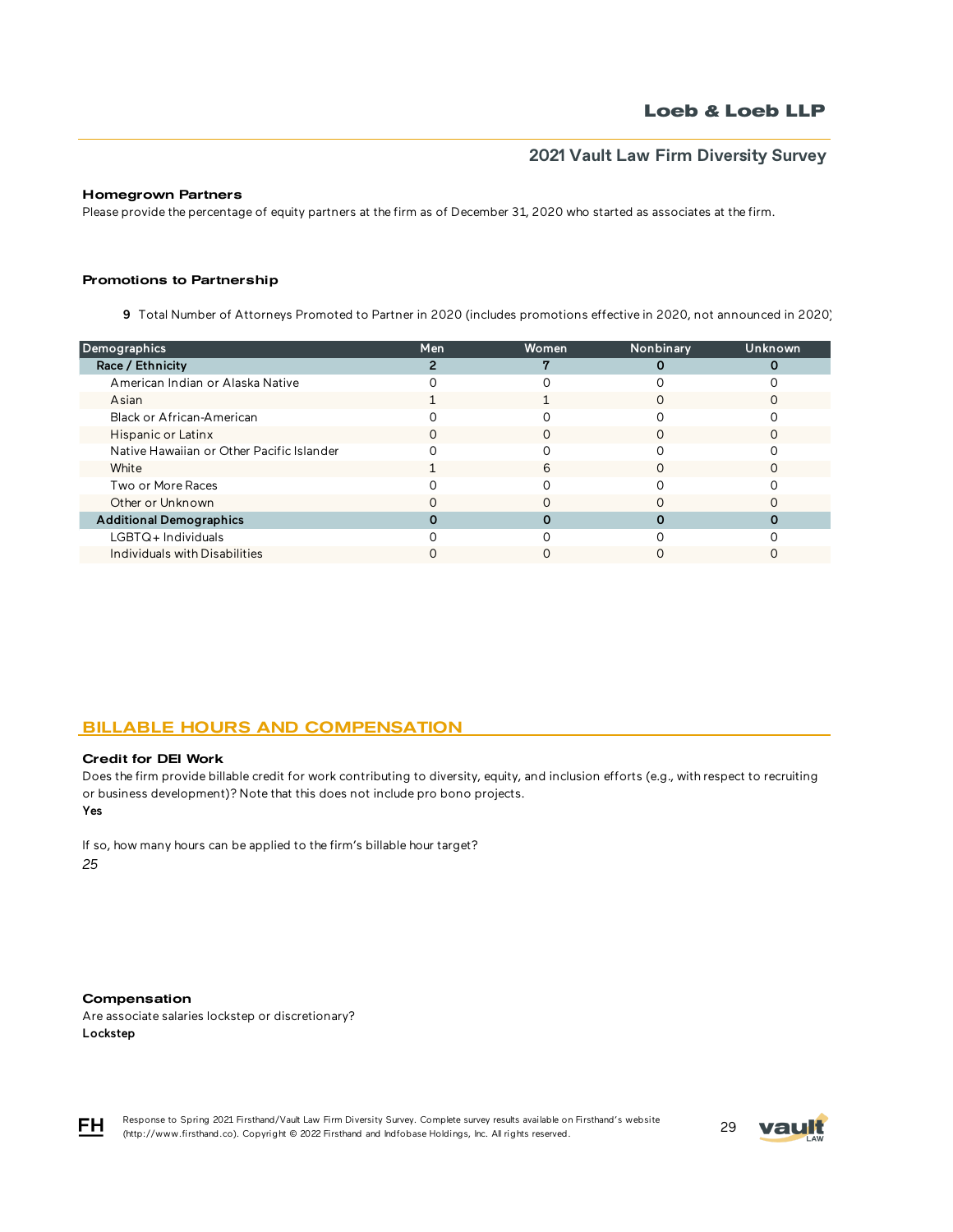### Homegrown Partners

Please provide the percentage of equity partners at the firm as of December 31, 2020 who started as associates at the firm.

#### Promotions to Partnership

9 Total Number of Attorneys Promoted to Partner in 2020 (includes promotions effective in 2020, not announced in 2020)

| Demographics                              | Men | Women | Nonbinary | <b>Unknown</b> |
|-------------------------------------------|-----|-------|-----------|----------------|
| Race / Ethnicity                          |     |       |           |                |
| American Indian or Alaska Native          |     |       |           |                |
| Asian                                     |     |       |           |                |
| Black or African-American                 |     |       |           |                |
| Hispanic or Latinx                        |     |       |           |                |
| Native Hawaiian or Other Pacific Islander |     |       |           |                |
| White                                     |     | 6     |           |                |
| Two or More Races                         |     |       |           |                |
| Other or Unknown                          |     |       |           |                |
| <b>Additional Demographics</b>            |     |       |           |                |
| LGBTQ+Individuals                         |     |       |           |                |
| Individuals with Disabilities             |     |       |           |                |
|                                           |     |       |           |                |

## BILLABLE HOURS AND COMPENSATION

#### Credit for DEI Work

Yes Does the firm provide billable credit for work contributing to diversity, equity, and inclusion efforts (e.g., with respect to recruiting or business development)? Note that this does not include pro bono projects.

If so, how many hours can be applied to the firm's billable hour target? *25*

#### Compensation

Are associate salaries lockstep or discretionary? Lockstep



Response to Spring 2021 Firsthand/Vault Law Firm Diversity Survey. Complete survey results available on Firsthand's website Response to Spring 2021 Firsthand/vault Law Firm Diversity Survey. Complete survey results available on Firsthand's website<br>(http://www.firsthand.co). Copyright © 2022 Firsthand and Indfobase Holdings, Inc. All rights rese

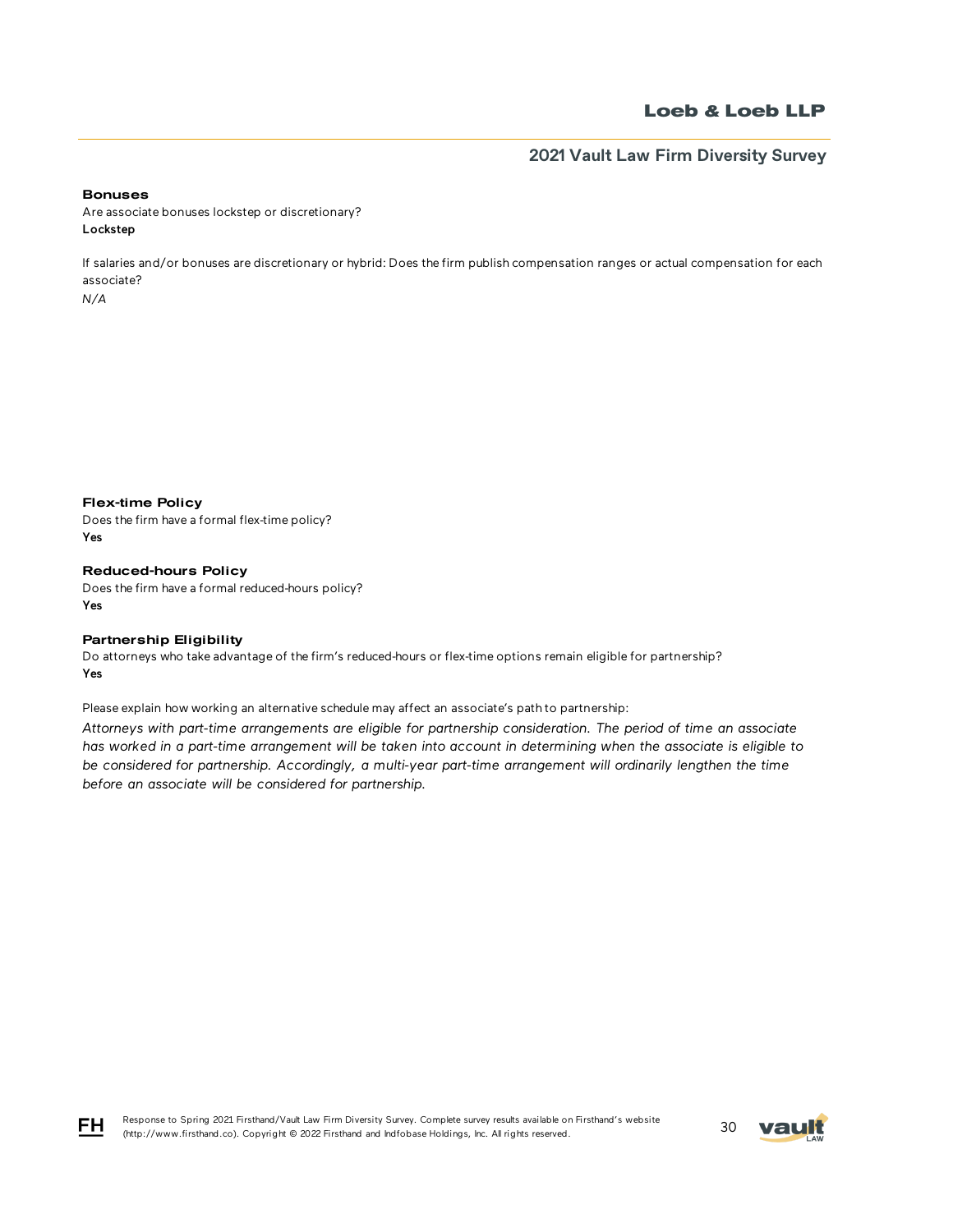## **2021 Vault Law Firm Diversity Survey**

#### Bonuses

Are associate bonuses lockstep or discretionary? Lockstep

If salaries and/or bonuses are discretionary or hybrid: Does the firm publish compensation ranges or actual compensation for each associate?

*N/A*

Flex-time Policy

Does the firm have a formal flex-time policy? Yes

Reduced-hours Policy Does the firm have a formal reduced-hours policy? Yes

### Partnership Eligibility

Do attorneys who take advantage of the firm's reduced-hours or flex-time options remain eligible for partnership? Yes

Please explain how working an alternative schedule may affect an associate's path to partnership:

*Attorneys with part-time arrangements are eligible for partnership consideration. The period of time an associate has worked in a part-time arrangement will be taken into account in determining when the associate is eligible to*  be considered for partnership. Accordingly, a multi-year part-time arrangement will ordinarily lengthen the time *before an associate will be considered for partnership.*



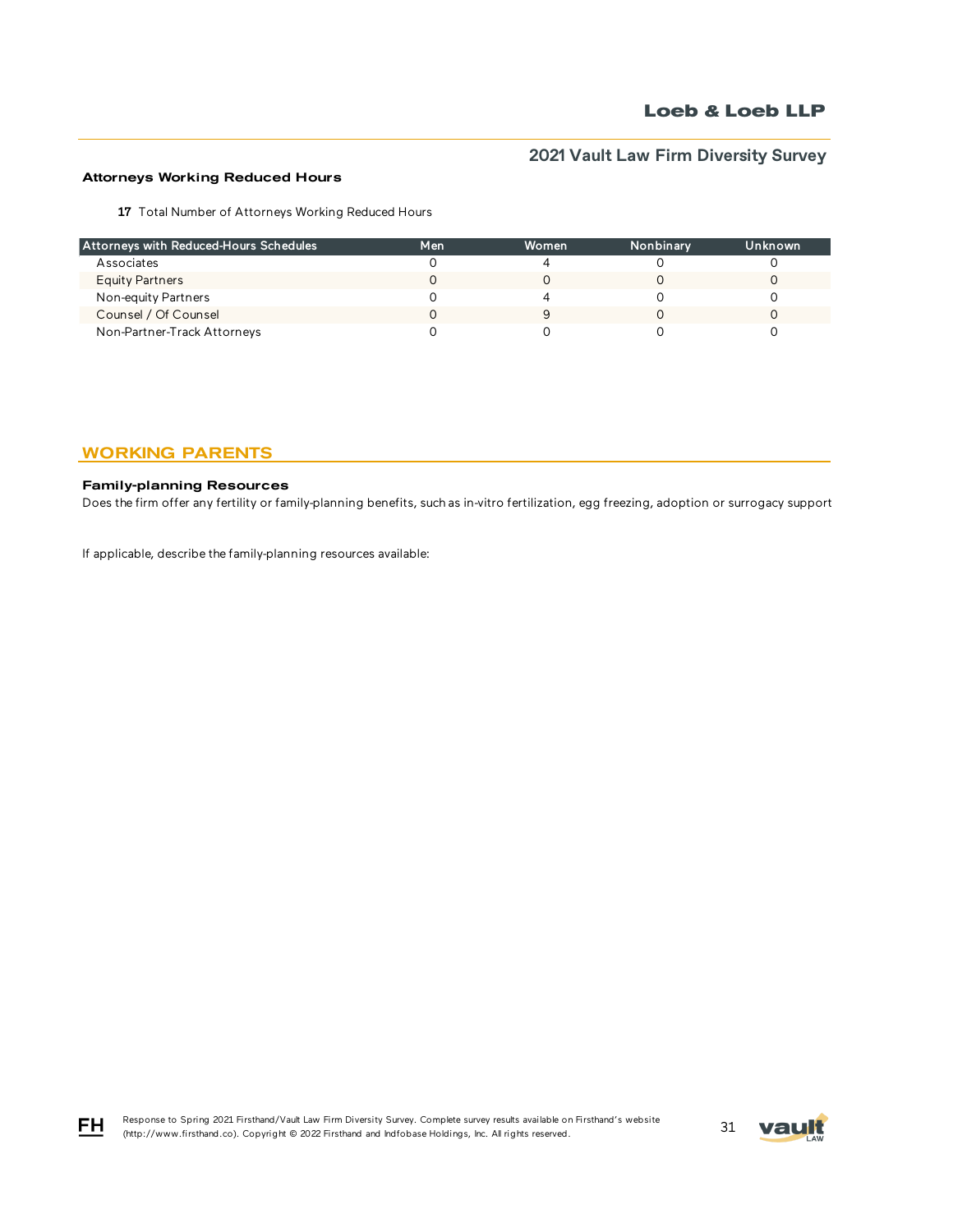## Attorneys Working Reduced Hours

17 Total Number of Attorneys Working Reduced Hours

| Attorneys with Reduced-Hours Schedules | Men | Women | Nonbinary | Unknown |
|----------------------------------------|-----|-------|-----------|---------|
| Associates                             |     |       |           |         |
| <b>Equity Partners</b>                 |     |       |           |         |
| Non-equity Partners                    |     |       |           |         |
| Counsel / Of Counsel                   |     |       |           |         |
| Non-Partner-Track Attorneys            |     |       |           |         |

## WORKING PARENTS

## Family-planning Resources

Does the firm offer any fertility or family-planning benefits, such as in-vitro fertilization, egg freezing, adoption or surrogacy support?

If applicable, describe the family-planning resources available:



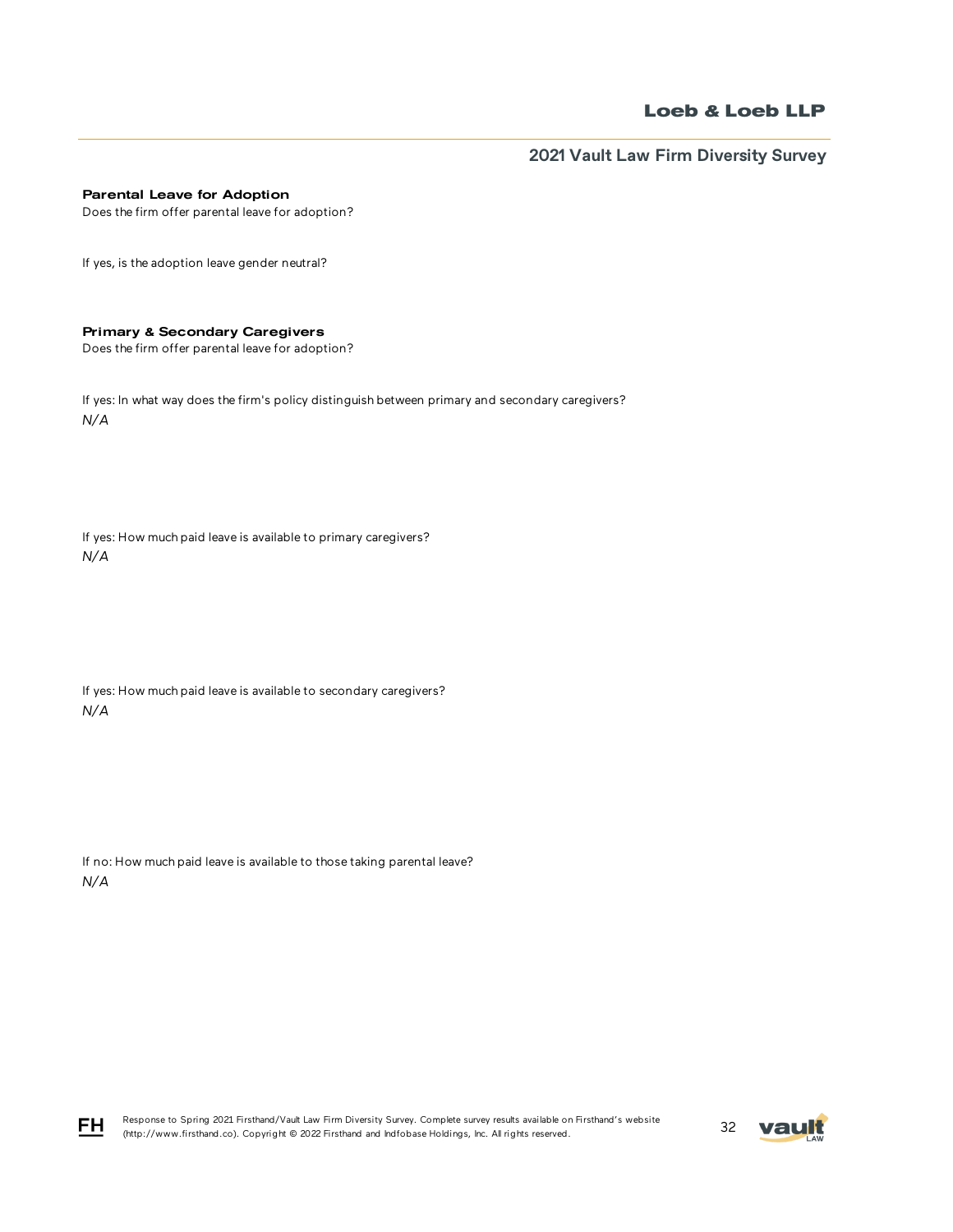**2021 Vault Law Firm Diversity Survey**

### Parental Leave for Adoption

Does the firm offer parental leave for adoption?

If yes, is the adoption leave gender neutral?

### Primary & Secondary Caregivers

Does the firm offer parental leave for adoption?

If yes: In what way does the firm's policy distinguish between primary and secondary caregivers? *N/A*

If yes: How much paid leave is available to primary caregivers? *N/A*

If yes: How much paid leave is available to secondary caregivers? *N/A*

If no: How much paid leave is available to those taking parental leave? *N/A*





FH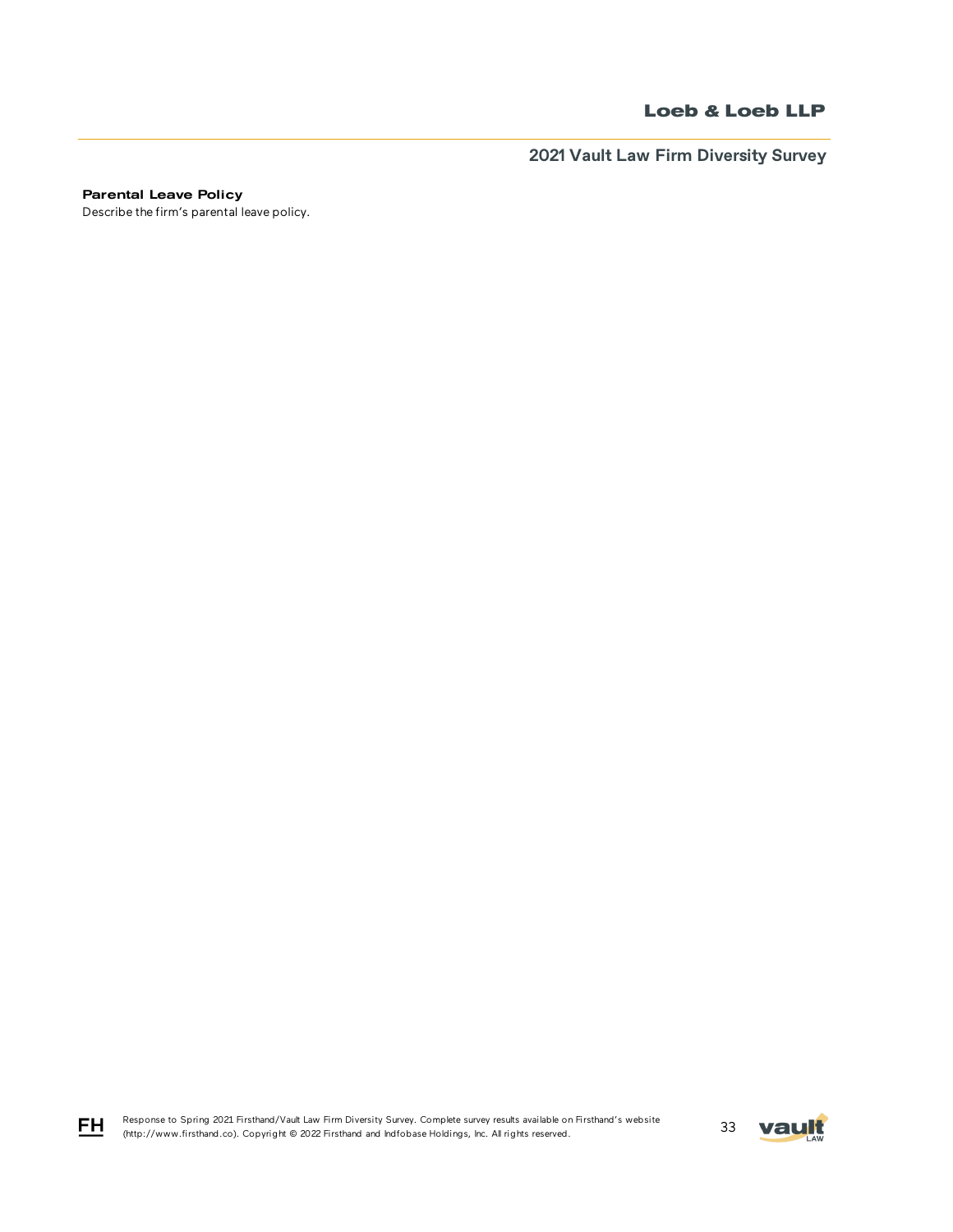**2021 Vault Law Firm Diversity Survey**

Parental Leave Policy

Describe the firm's parental leave policy.

Response to Spring 2021 Firsthand/Vault Law Firm Diversity Survey. Complete survey results available on Firsthand's website Response to Spring 2021 Firsthand/Vault Law Firm Diversity Survey. Complete survey results available on Firsthand's website<br>(http://www.firsthand.co). Copyright © 2022 Firsthand and Indfobase Holdings, Inc. All rights rese



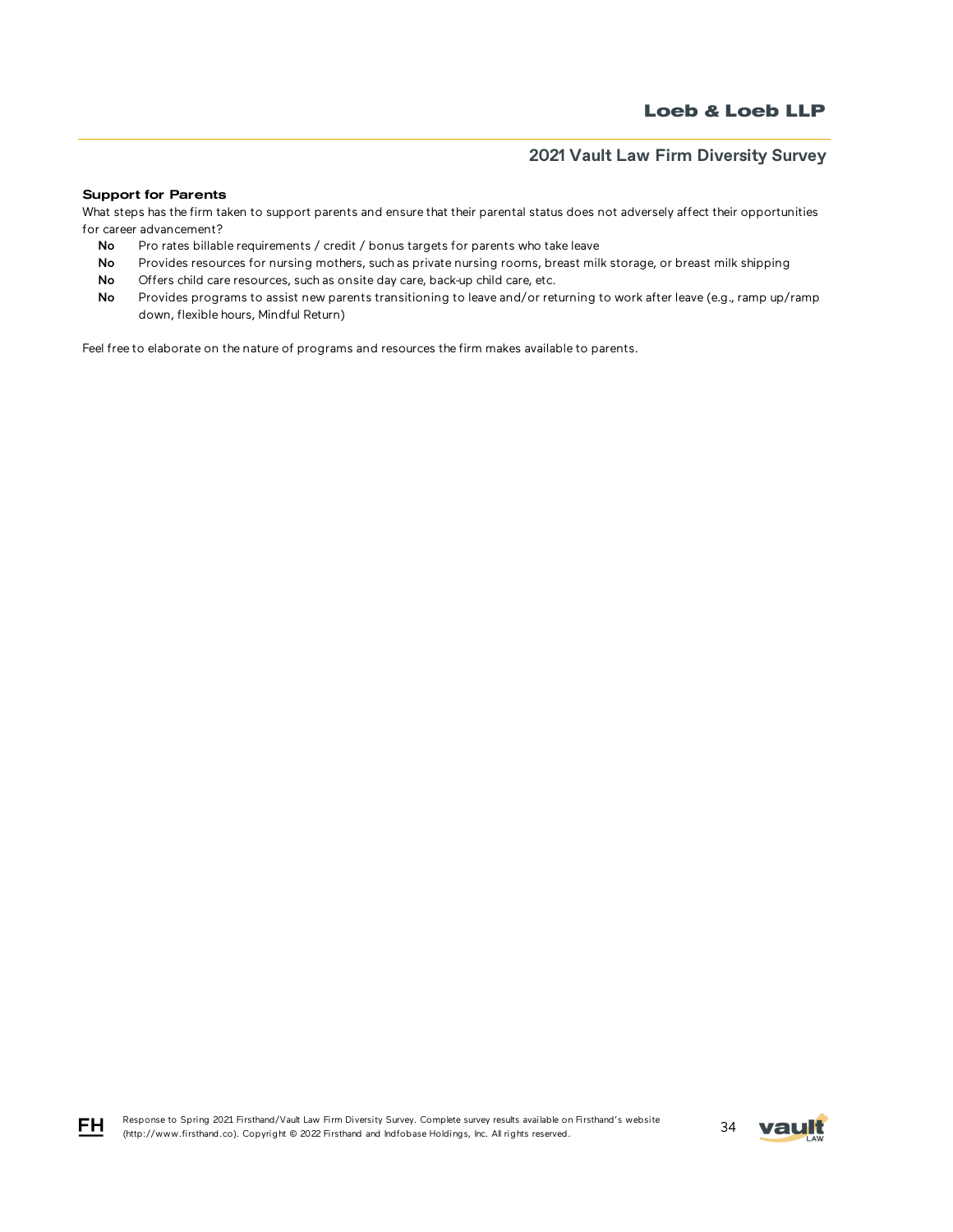#### Support for Parents

What steps has the firm taken to support parents and ensure that their parental status does not adversely affect their opportunities for career advancement?

- No Pro rates billable requirements / credit / bonus targets for parents who take leave
- No Provides resources for nursing mothers, such as private nursing rooms, breast milk storage, or breast milk shipping
- No Offers child care resources, such as onsite day care, back-up child care, etc.
- No Provides programs to assist new parents transitioning to leave and/or returning to work after leave (e.g., ramp up/ramp down, flexible hours, Mindful Return)

Feel free to elaborate on the nature of programs and resources the firm makes available to parents.





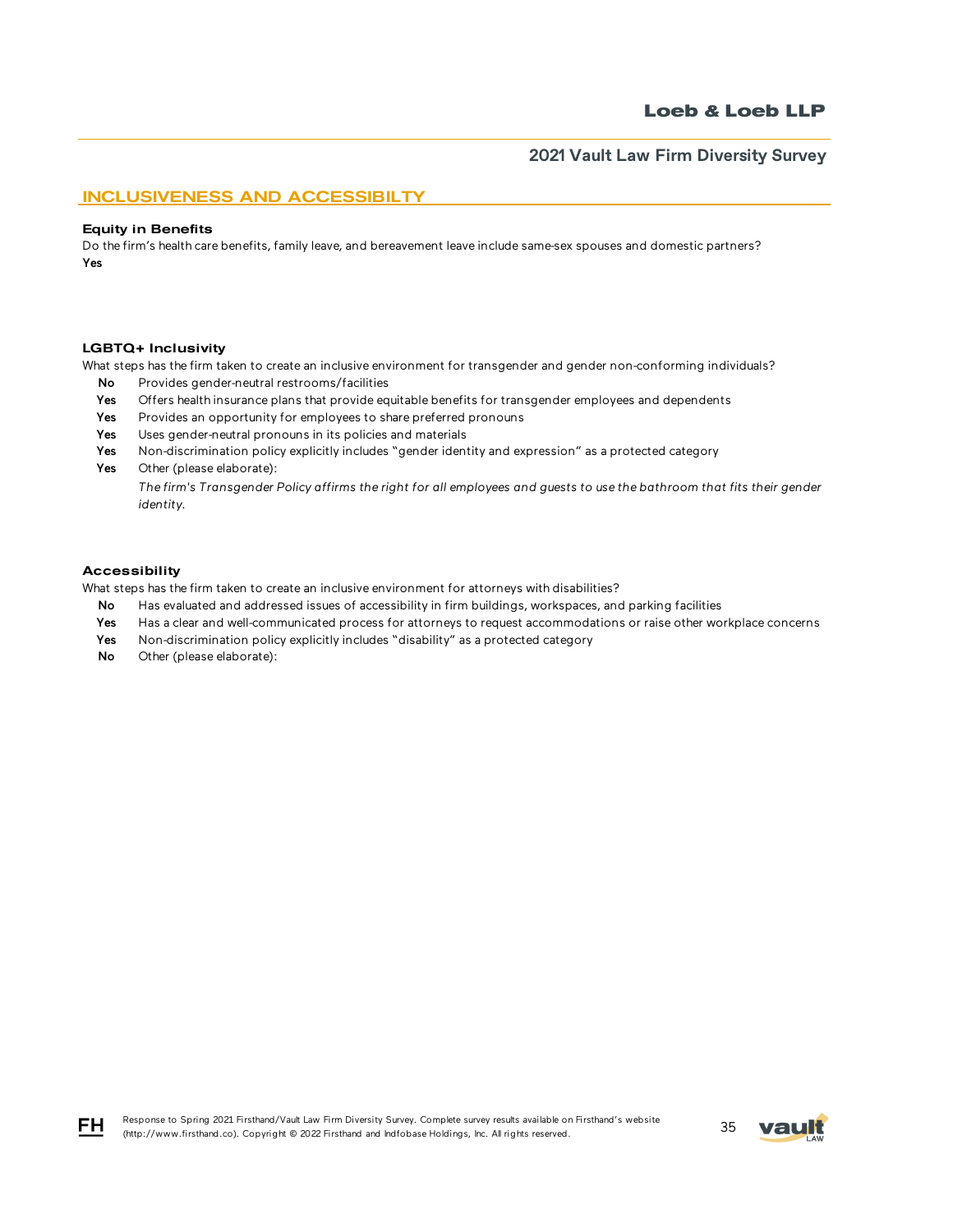## INCLUSIVENESS AND ACCESSIBILTY

#### Equity in Benefits

Do the firm's health care benefits, family leave, and bereavement leave include same-sex spouses and domestic partners? Yes

#### LGBTQ+ Inclusivity

What steps has the firm taken to create an inclusive environment for transgender and gender non-conforming individuals?

- No Provides gender-neutral restrooms/facilities
- Yes Offers health insurance plans that provide equitable benefits for transgender employees and dependents
- Yes Provides an opportunity for employees to share preferred pronouns
- Yes Uses gender-neutral pronouns in its policies and materials
- Yes Non-discrimination policy explicitly includes "gender identity and expression" as a protected category
- Yes Other (please elaborate):

*The firm's Transgender Policy affirms the right for all employees and guests to use the bathroom that fits their gender identity.*

### Accessibility

FH.

What steps has the firm taken to create an inclusive environment for attorneys with disabilities?

- No Has evaluated and addressed issues of accessibility in firm buildings, workspaces, and parking facilities
- Yes Has a clear and well-communicated process for attorneys to request accommodations or raise other workplace concerns
- Yes Non-discrimination policy explicitly includes "disability" as a protected category
- No Other (please elaborate):

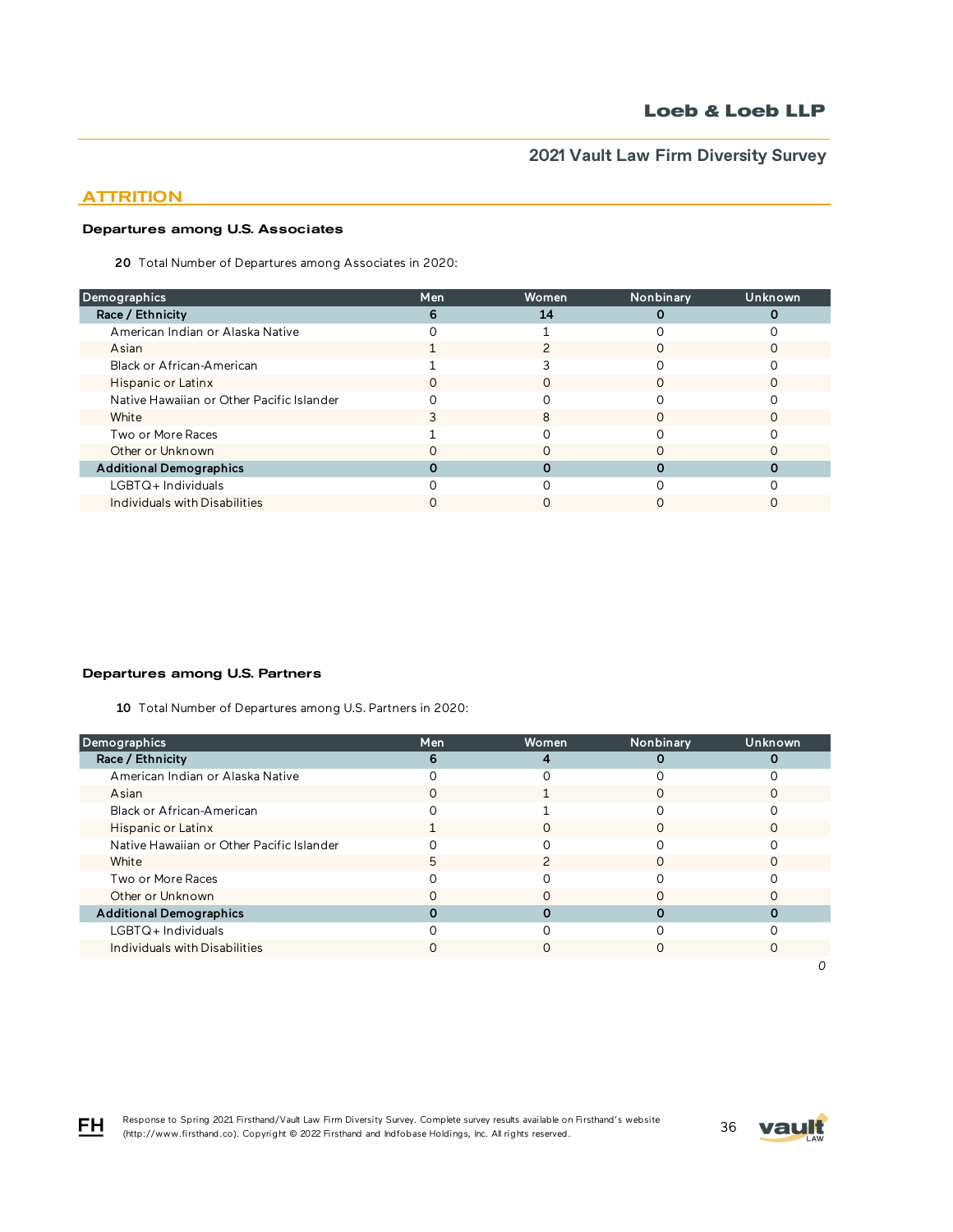## **ATTRITION**

### Departures among U.S. Associates

20 Total Number of Departures among Associates in 2020:

| <b>Demographics</b>                       | Men | Women | Nonbinary | Unknown |
|-------------------------------------------|-----|-------|-----------|---------|
| Race / Ethnicity                          | h   | 14    |           |         |
| American Indian or Alaska Native          |     |       |           |         |
| Asian                                     |     |       |           |         |
| Black or African-American                 |     |       |           |         |
| Hispanic or Latinx                        |     |       |           |         |
| Native Hawaiian or Other Pacific Islander |     |       |           |         |
| White                                     |     | 8     |           |         |
| Two or More Races                         |     |       |           |         |
| Other or Unknown                          |     |       |           |         |
| <b>Additional Demographics</b>            |     |       |           |         |
| LGBTQ+Individuals                         |     |       |           |         |
| Individuals with Disabilities             |     |       |           |         |
|                                           |     |       |           |         |

### Departures among U.S. Partners

10 Total Number of Departures among U.S. Partners in 2020:

| Demographics                              | Men | <b>Women</b> | Nonbinary | Unknown |
|-------------------------------------------|-----|--------------|-----------|---------|
| Race / Ethnicity                          | 6   | 4            |           |         |
| American Indian or Alaska Native          |     |              |           |         |
| Asian                                     |     |              |           |         |
| Black or African-American                 |     |              |           |         |
| Hispanic or Latinx                        |     |              |           |         |
| Native Hawaiian or Other Pacific Islander |     |              |           |         |
| White                                     | h   |              |           |         |
| Two or More Races                         |     |              |           |         |
| Other or Unknown                          |     |              |           |         |
| <b>Additional Demographics</b>            |     |              |           |         |
| $LGBTQ+$ Individuals                      |     |              |           |         |
| Individuals with Disabilities             |     |              |           |         |
|                                           |     |              |           |         |

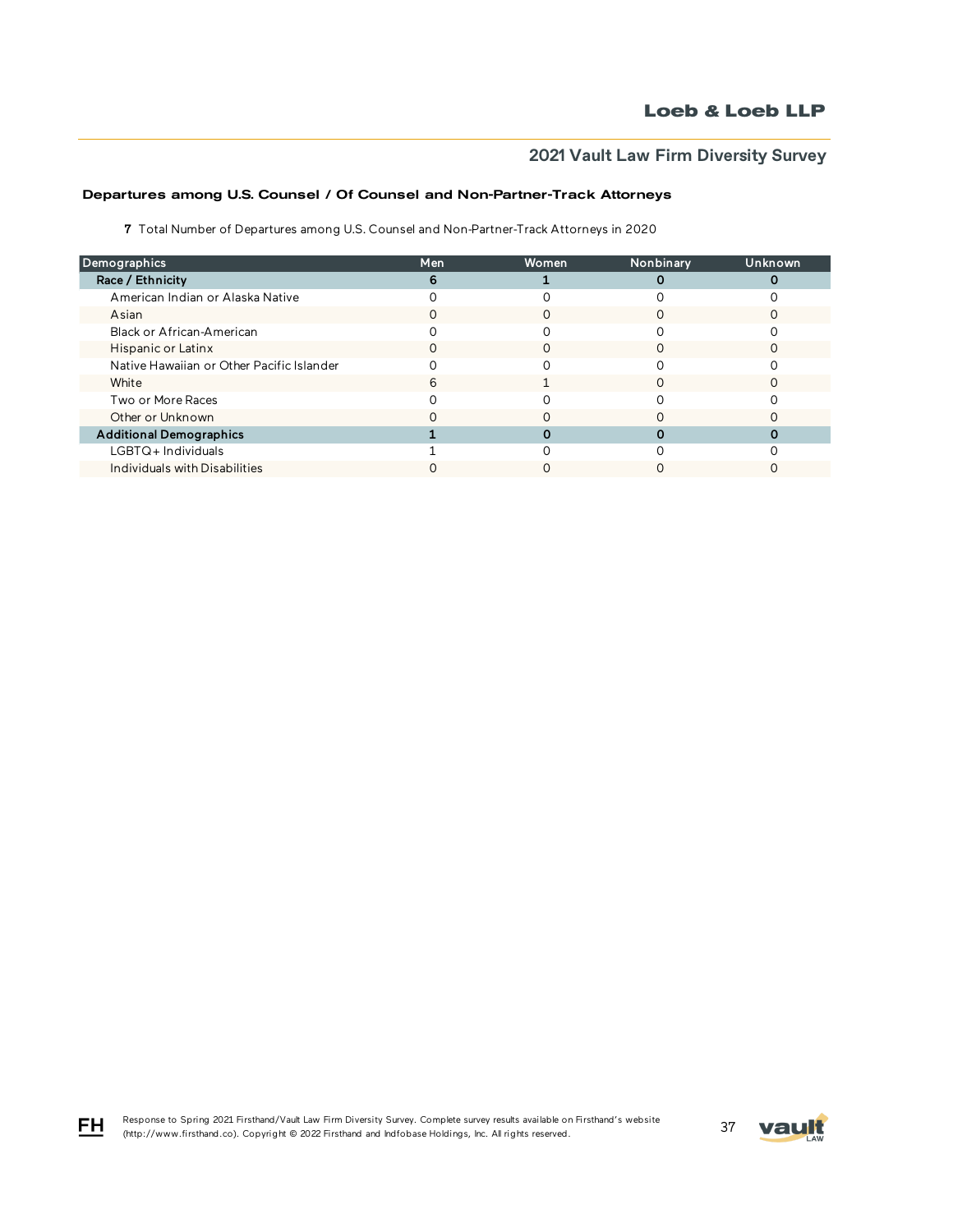## Departures among U.S. Counsel / Of Counsel and Non-Partner-Track Attorneys

7 Total Number of Departures among U.S. Counsel and Non-Partner-Track Attorneys in 2020

| Demographics                              | Men | Women | Nonbinary | <b>Unknown</b> |
|-------------------------------------------|-----|-------|-----------|----------------|
| Race / Ethnicity                          |     |       |           |                |
| American Indian or Alaska Native          |     |       |           |                |
| Asian                                     |     |       |           |                |
| Black or African-American                 |     |       |           |                |
| Hispanic or Latinx                        | O   | Ω     |           |                |
| Native Hawaiian or Other Pacific Islander |     |       |           |                |
| White                                     |     |       |           |                |
| Two or More Races                         |     |       |           |                |
| Other or Unknown                          |     |       |           |                |
| <b>Additional Demographics</b>            |     |       |           |                |
| LGBTQ+Individuals                         |     |       |           |                |
| Individuals with Disabilities             |     |       |           |                |

FH

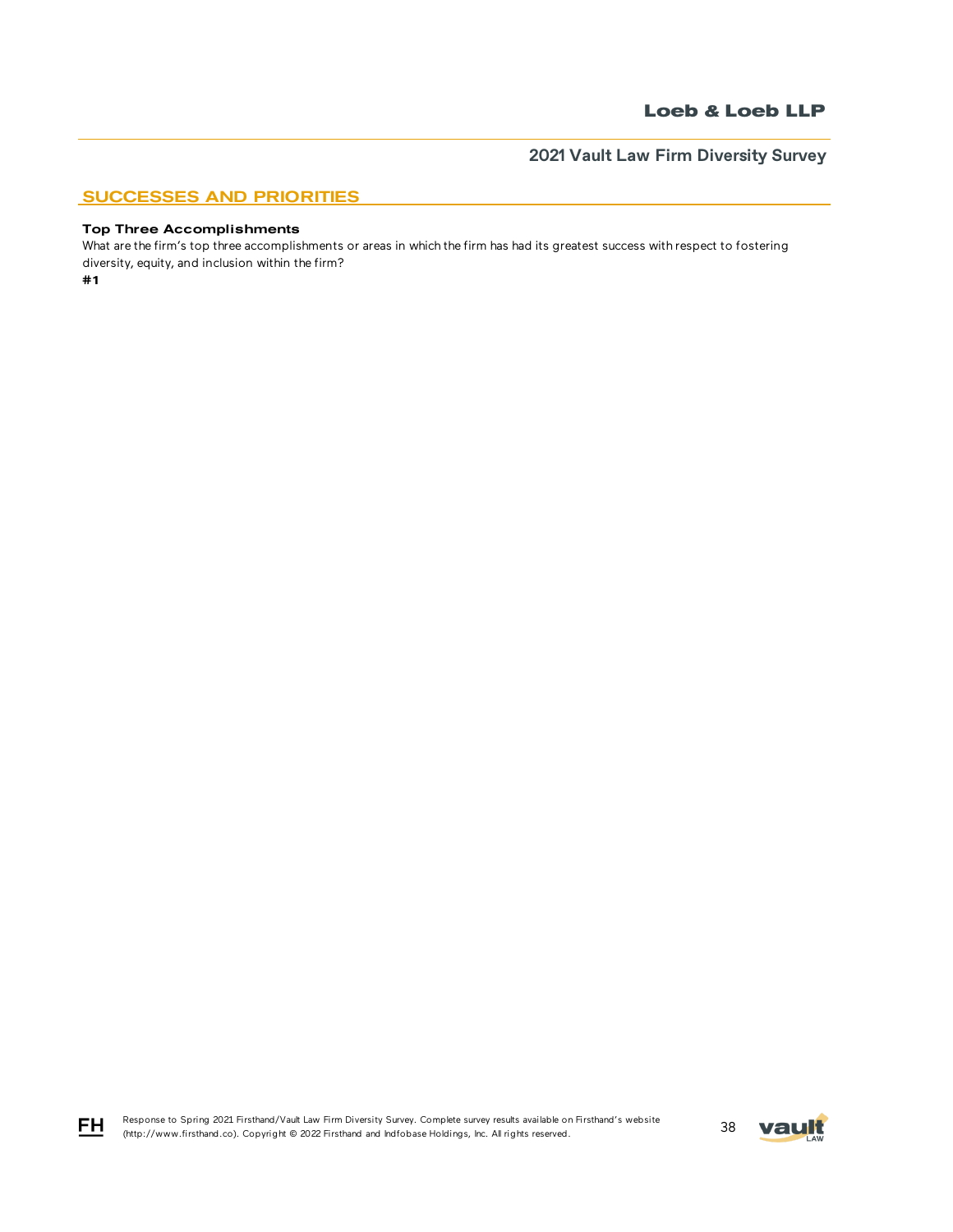## SUCCESSES AND PRIORITIES

### Top Three Accomplishments

#1 What are the firm's top three accomplishments or areas in which the firm has had its greatest success with respect to fostering diversity, equity, and inclusion within the firm?



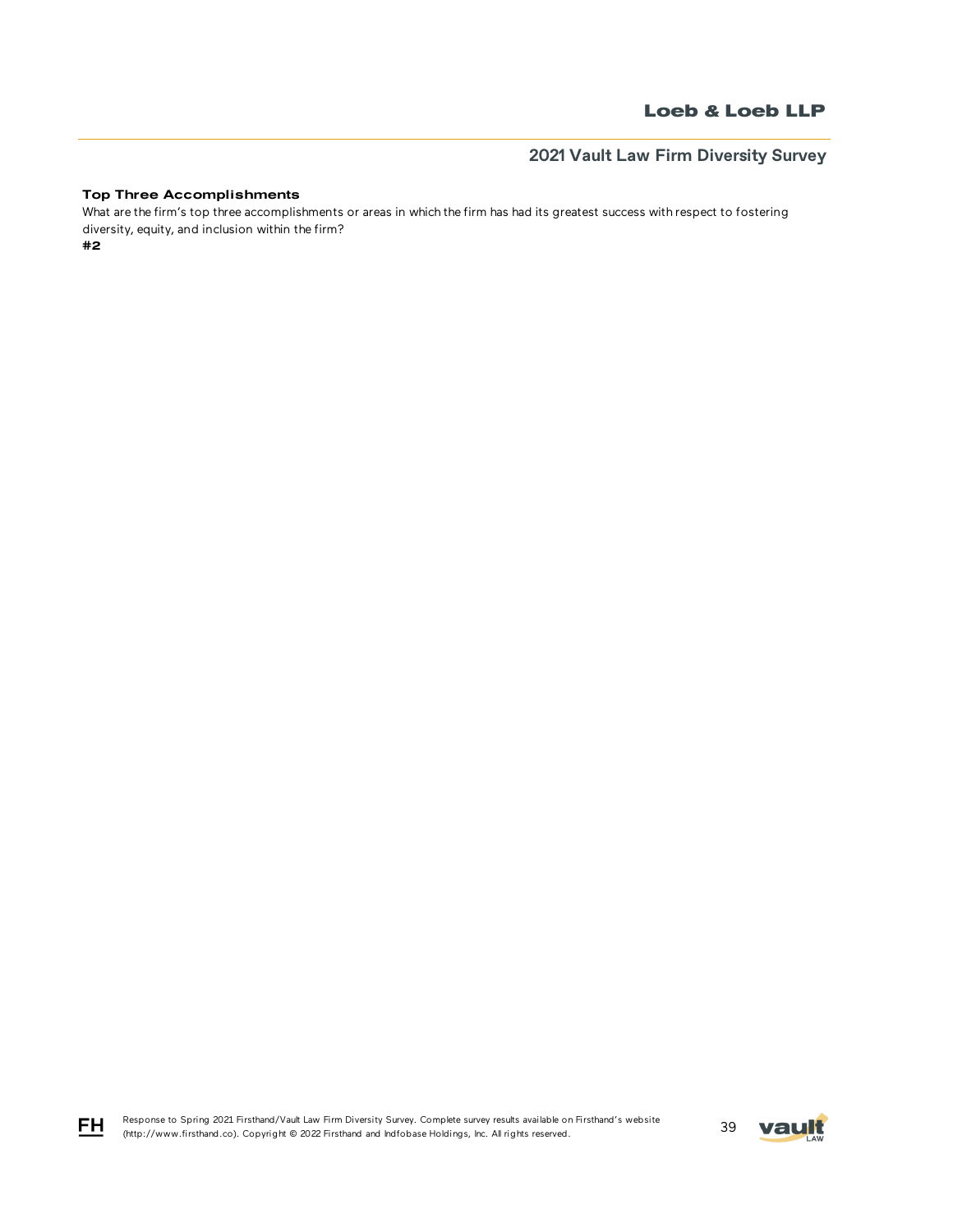# **2021 Vault Law Firm Diversity Survey**

### Top Three Accomplishments

What are the firm's top three accomplishments or areas in which the firm has had its greatest success with respect to fostering diversity, equity, and inclusion within the firm?

#2



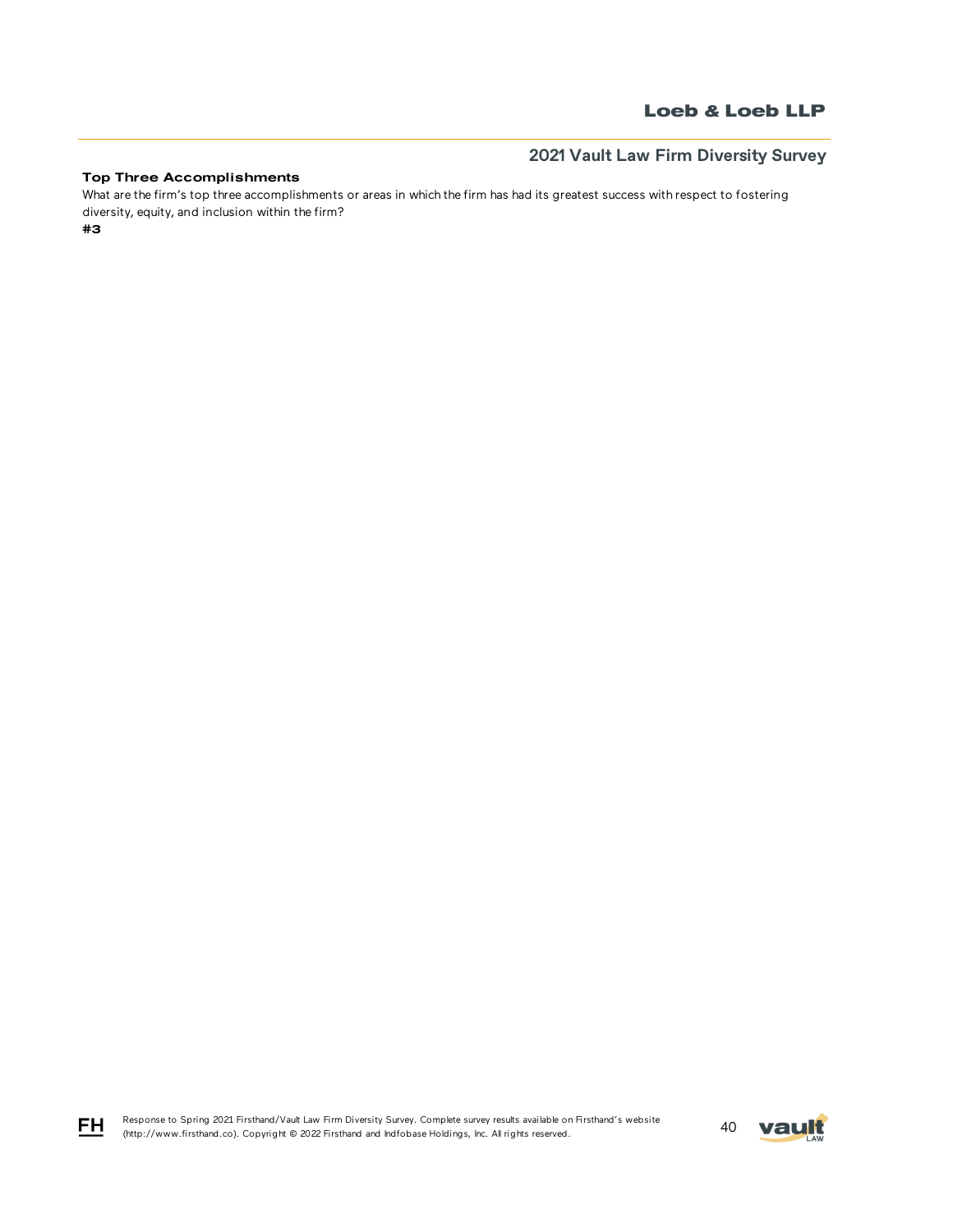# **2021 Vault Law Firm Diversity Survey**

## Top Three Accomplishments

What are the firm's top three accomplishments or areas in which the firm has had its greatest success with respect to fostering diversity, equity, and inclusion within the firm?

#3

Response to Spring 2021 Firsthand/Vault Law Firm Diversity Survey. Complete survey results available on Firsthand's website Response to Spring 2021 Firsthand/Vault Law Firm Diversity Survey. Complete survey results available on Firsthand's website<br>(http://www.firsthand.co). Copyright © 2022 Firsthand and Indfobase Holdings, Inc. All rights rese



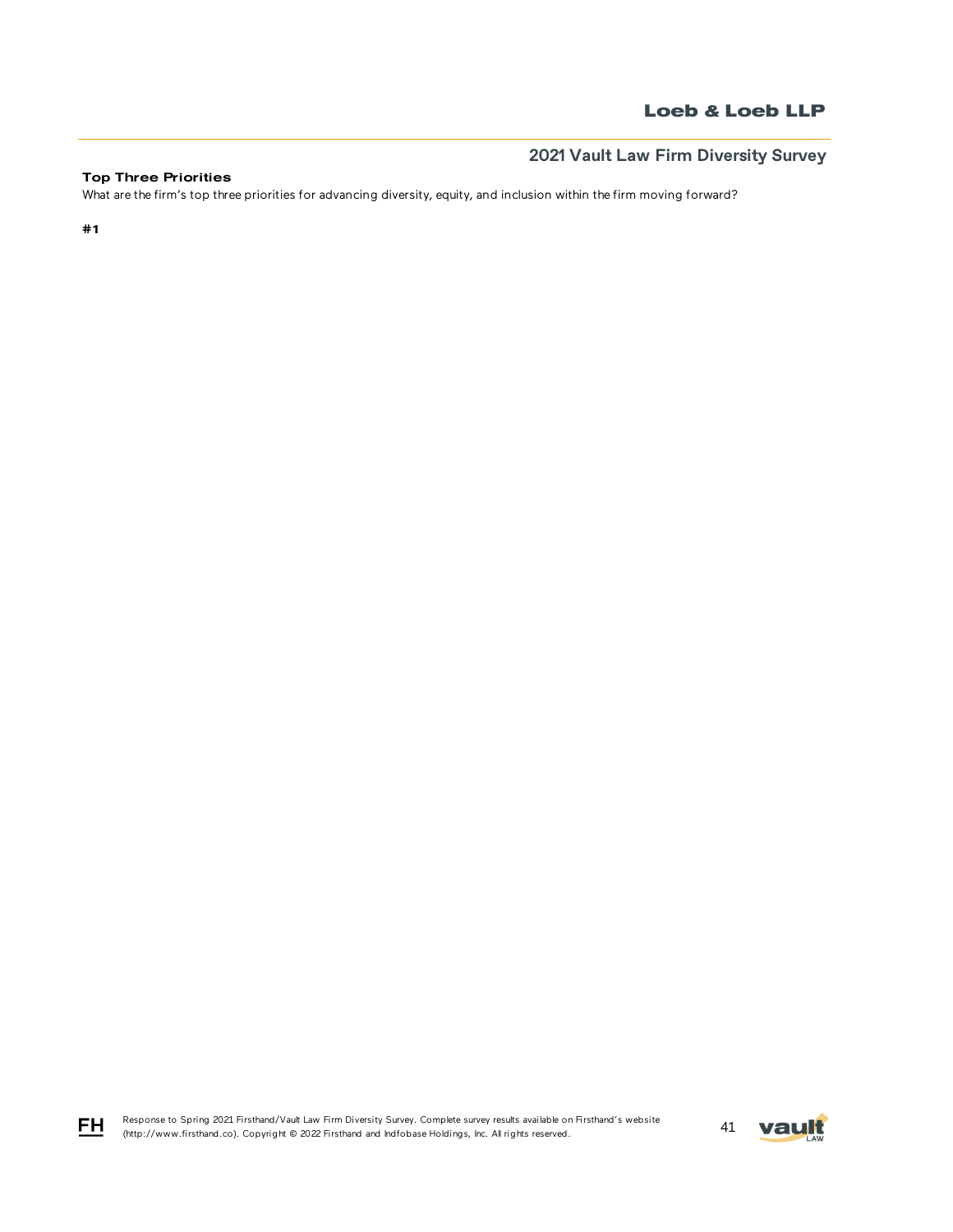# **2021 Vault Law Firm Diversity Survey**

## Top Three Priorities

What are the firm's top three priorities for advancing diversity, equity, and inclusion within the firm moving forward?

#1

FH

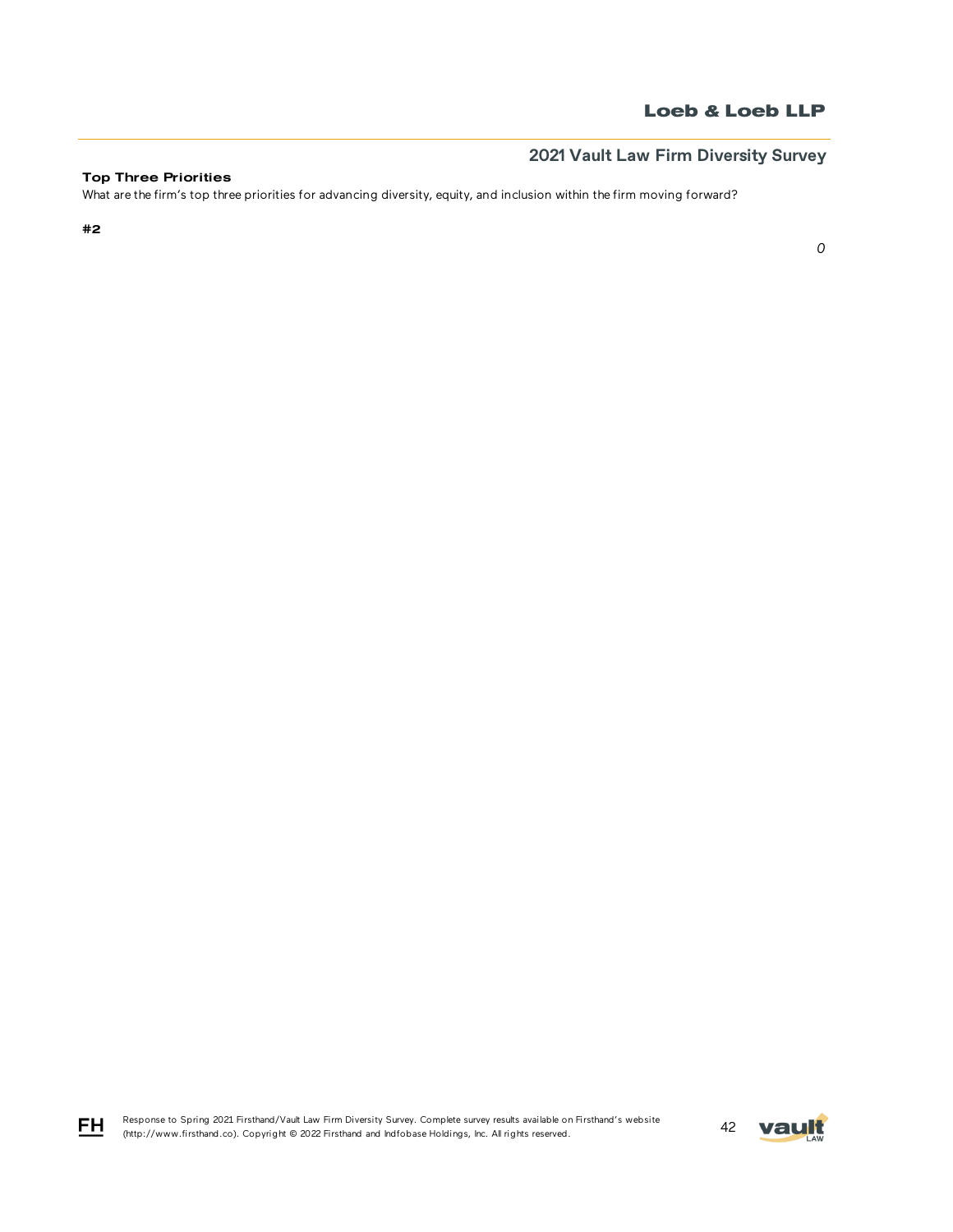*0*

# **2021 Vault Law Firm Diversity Survey**

## Top Three Priorities

What are the firm's top three priorities for advancing diversity, equity, and inclusion within the firm moving forward?

#2



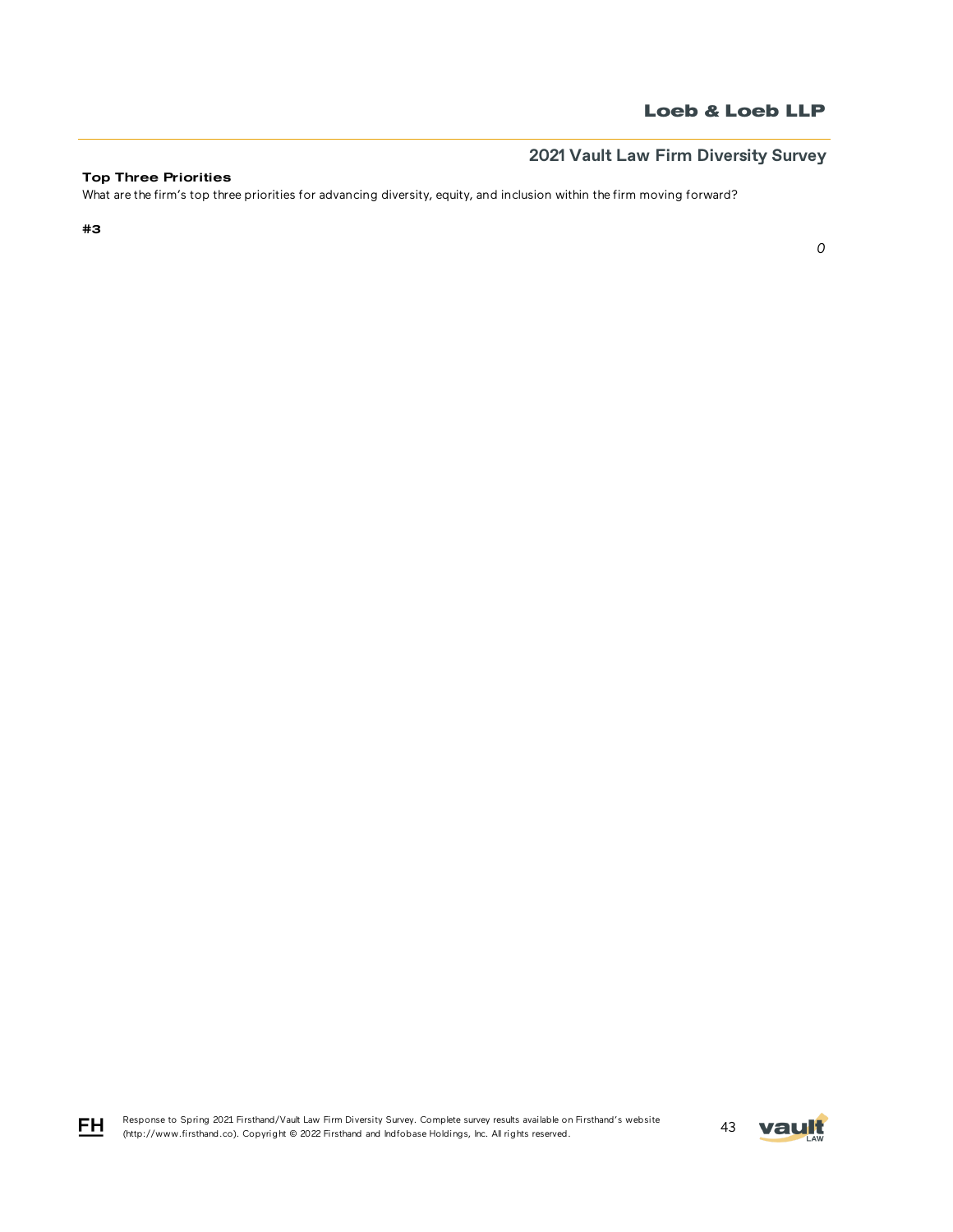*0*

# **2021 Vault Law Firm Diversity Survey**

## Top Three Priorities

What are the firm's top three priorities for advancing diversity, equity, and inclusion within the firm moving forward?

#3